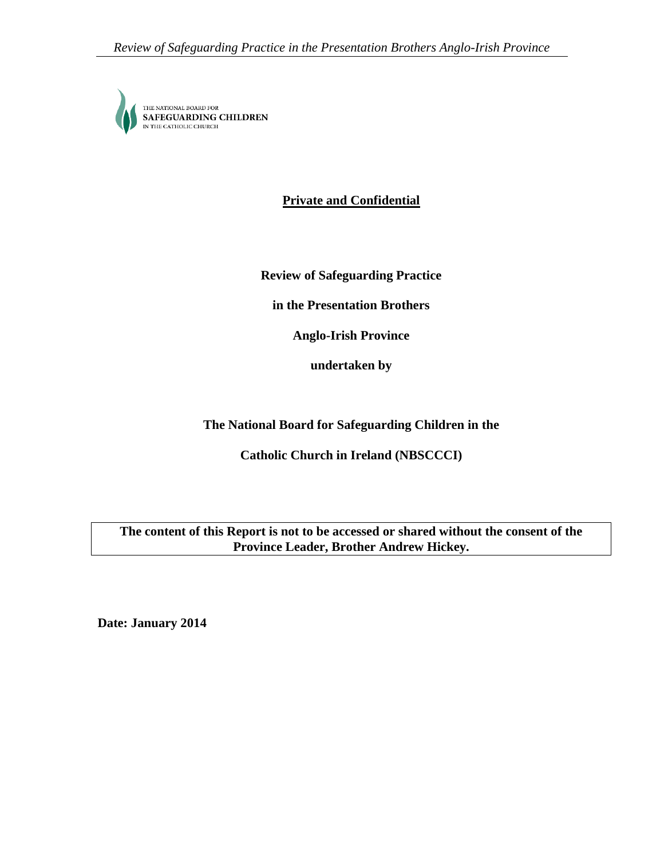

**Private and Confidential**

**Review of Safeguarding Practice**

**in the Presentation Brothers**

**Anglo-Irish Province**

**undertaken by**

**The National Board for Safeguarding Children in the**

**Catholic Church in Ireland (NBSCCCI)**

**The content of this Report is not to be accessed or shared without the consent of the Province Leader, Brother Andrew Hickey.** 

**Date: January 2014**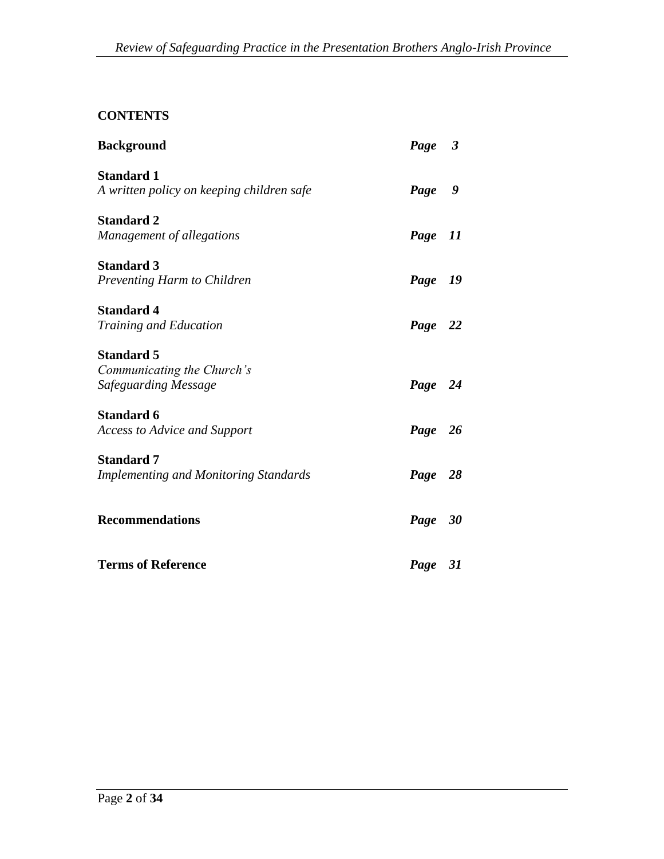# **CONTENTS**

| <b>Background</b>                                                       | Page 3     |
|-------------------------------------------------------------------------|------------|
| <b>Standard 1</b><br>A written policy on keeping children safe          | Page<br>9  |
| <b>Standard 2</b><br>Management of allegations                          | 11<br>Page |
| <b>Standard 3</b><br>Preventing Harm to Children                        | Page 19    |
| <b>Standard 4</b><br><b>Training and Education</b>                      | Page 22    |
| <b>Standard 5</b><br>Communicating the Church's<br>Safeguarding Message | Page 24    |
| <b>Standard 6</b><br><b>Access to Advice and Support</b>                | Page 26    |
| <b>Standard 7</b><br><b>Implementing and Monitoring Standards</b>       | Page 28    |
| <b>Recommendations</b>                                                  | Page 30    |
| <b>Terms of Reference</b>                                               | Page 31    |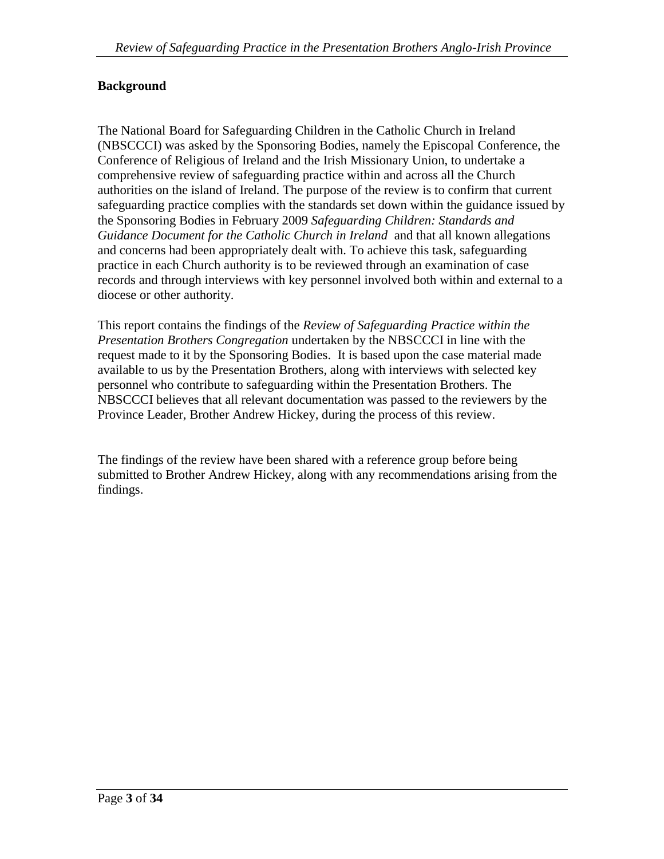### **Background**

The National Board for Safeguarding Children in the Catholic Church in Ireland (NBSCCCI) was asked by the Sponsoring Bodies, namely the Episcopal Conference, the Conference of Religious of Ireland and the Irish Missionary Union, to undertake a comprehensive review of safeguarding practice within and across all the Church authorities on the island of Ireland. The purpose of the review is to confirm that current safeguarding practice complies with the standards set down within the guidance issued by the Sponsoring Bodies in February 2009 *Safeguarding Children: Standards and Guidance Document for the Catholic Church in Ireland* and that all known allegations and concerns had been appropriately dealt with. To achieve this task, safeguarding practice in each Church authority is to be reviewed through an examination of case records and through interviews with key personnel involved both within and external to a diocese or other authority.

This report contains the findings of the *Review of Safeguarding Practice within the Presentation Brothers Congregation* undertaken by the NBSCCCI in line with the request made to it by the Sponsoring Bodies. It is based upon the case material made available to us by the Presentation Brothers, along with interviews with selected key personnel who contribute to safeguarding within the Presentation Brothers. The NBSCCCI believes that all relevant documentation was passed to the reviewers by the Province Leader, Brother Andrew Hickey, during the process of this review.

The findings of the review have been shared with a reference group before being submitted to Brother Andrew Hickey, along with any recommendations arising from the findings.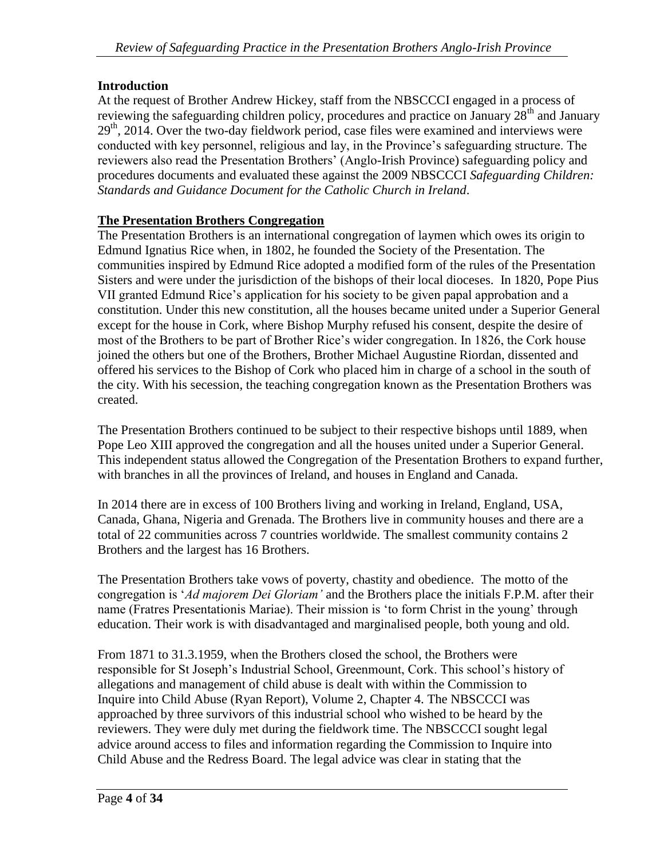### **Introduction**

At the request of Brother Andrew Hickey, staff from the NBSCCCI engaged in a process of reviewing the safeguarding children policy, procedures and practice on January  $28<sup>th</sup>$  and January  $29<sup>th</sup>$ , 2014. Over the two-day fieldwork period, case files were examined and interviews were conducted with key personnel, religious and lay, in the Province's safeguarding structure. The reviewers also read the Presentation Brothers' (Anglo-Irish Province) safeguarding policy and procedures documents and evaluated these against the 2009 NBSCCCI *Safeguarding Children: Standards and Guidance Document for the Catholic Church in Ireland*.

### **The Presentation Brothers Congregation**

The Presentation Brothers is an international congregation of laymen which owes its origin to Edmund Ignatius Rice when, in 1802, he founded the Society of the Presentation. The communities inspired by Edmund Rice adopted a modified form of the rules of the Presentation Sisters and were under the jurisdiction of the bishops of their local dioceses. In 1820, Pope Pius VII granted Edmund Rice's application for his society to be given papal approbation and a constitution. Under this new constitution, all the houses became united under a Superior General except for the house in Cork, where Bishop Murphy refused his consent, despite the desire of most of the Brothers to be part of Brother Rice's wider congregation. In 1826, the Cork house joined the others but one of the Brothers, Brother Michael Augustine Riordan, dissented and offered his services to the Bishop of Cork who placed him in charge of a school in the south of the city. With his secession, the teaching congregation known as the Presentation Brothers was created.

The Presentation Brothers continued to be subject to their respective bishops until 1889, when Pope Leo XIII approved the congregation and all the houses united under a Superior General. This independent status allowed the Congregation of the Presentation Brothers to expand further, with branches in all the provinces of Ireland, and houses in England and Canada.

In 2014 there are in excess of 100 Brothers living and working in Ireland, England, USA, Canada, Ghana, Nigeria and Grenada. The Brothers live in community houses and there are a total of 22 communities across 7 countries worldwide. The smallest community contains 2 Brothers and the largest has 16 Brothers.

The Presentation Brothers take vows of poverty, chastity and obedience. The motto of the congregation is '*Ad majorem Dei Gloriam'* and the Brothers place the initials F.P.M. after their name (Fratres Presentationis Mariae). Their mission is 'to form Christ in the young' through education. Their work is with disadvantaged and marginalised people, both young and old.

From 1871 to 31.3.1959, when the Brothers closed the school, the Brothers were responsible for St Joseph's Industrial School, Greenmount, Cork. This school's history of allegations and management of child abuse is dealt with within the Commission to Inquire into Child Abuse (Ryan Report), Volume 2, Chapter 4. The NBSCCCI was approached by three survivors of this industrial school who wished to be heard by the reviewers. They were duly met during the fieldwork time. The NBSCCCI sought legal advice around access to files and information regarding the Commission to Inquire into Child Abuse and the Redress Board. The legal advice was clear in stating that the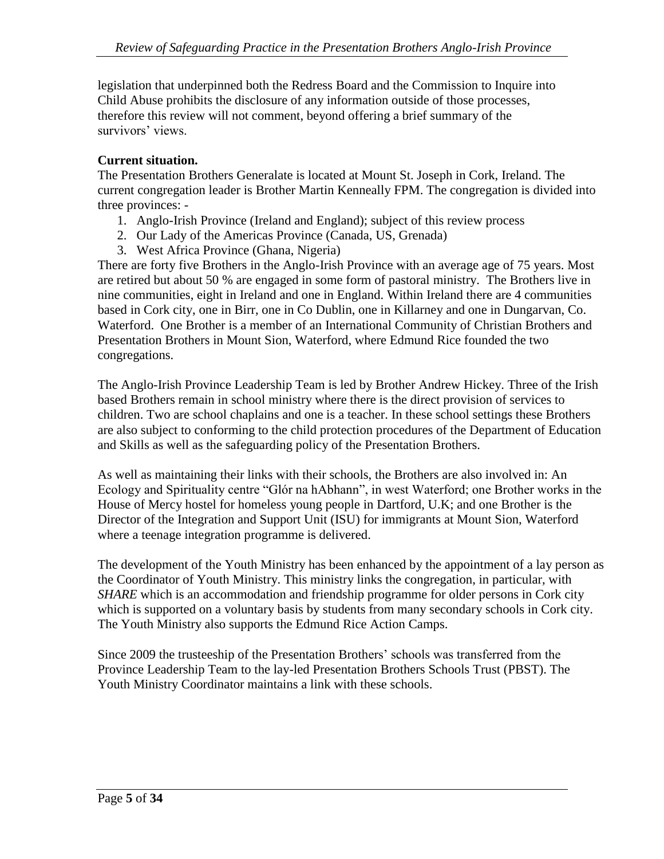legislation that underpinned both the Redress Board and the Commission to Inquire into Child Abuse prohibits the disclosure of any information outside of those processes, therefore this review will not comment, beyond offering a brief summary of the survivors' views.

### **Current situation.**

The Presentation Brothers Generalate is located at Mount St. Joseph in Cork, Ireland. The current congregation leader is Brother Martin Kenneally FPM. The congregation is divided into three provinces: -

- 1. Anglo-Irish Province (Ireland and England); subject of this review process
- 2. Our Lady of the Americas Province (Canada, US, Grenada)
- 3. West Africa Province (Ghana, Nigeria)

There are forty five Brothers in the Anglo-Irish Province with an average age of 75 years. Most are retired but about 50 % are engaged in some form of pastoral ministry. The Brothers live in nine communities, eight in Ireland and one in England. Within Ireland there are 4 communities based in Cork city, one in Birr, one in Co Dublin, one in Killarney and one in Dungarvan, Co. Waterford. One Brother is a member of an International Community of Christian Brothers and Presentation Brothers in Mount Sion, Waterford, where Edmund Rice founded the two congregations.

The Anglo-Irish Province Leadership Team is led by Brother Andrew Hickey. Three of the Irish based Brothers remain in school ministry where there is the direct provision of services to children. Two are school chaplains and one is a teacher. In these school settings these Brothers are also subject to conforming to the child protection procedures of the Department of Education and Skills as well as the safeguarding policy of the Presentation Brothers.

As well as maintaining their links with their schools, the Brothers are also involved in: An Ecology and Spirituality centre "Glór na hAbhann", in west Waterford; one Brother works in the House of Mercy hostel for homeless young people in Dartford, U.K; and one Brother is the Director of the Integration and Support Unit (ISU) for immigrants at Mount Sion, Waterford where a teenage integration programme is delivered.

The development of the Youth Ministry has been enhanced by the appointment of a lay person as the Coordinator of Youth Ministry. This ministry links the congregation, in particular, with *SHARE* which is an accommodation and friendship programme for older persons in Cork city which is supported on a voluntary basis by students from many secondary schools in Cork city. The Youth Ministry also supports the Edmund Rice Action Camps.

Since 2009 the trusteeship of the Presentation Brothers' schools was transferred from the Province Leadership Team to the lay-led Presentation Brothers Schools Trust (PBST). The Youth Ministry Coordinator maintains a link with these schools.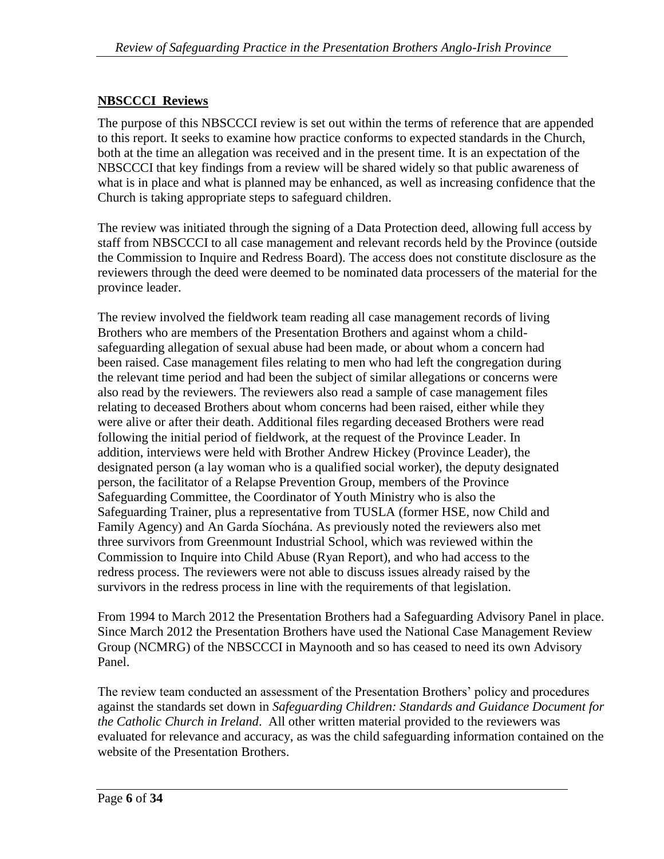# **NBSCCCI Reviews**

The purpose of this NBSCCCI review is set out within the terms of reference that are appended to this report. It seeks to examine how practice conforms to expected standards in the Church, both at the time an allegation was received and in the present time. It is an expectation of the NBSCCCI that key findings from a review will be shared widely so that public awareness of what is in place and what is planned may be enhanced, as well as increasing confidence that the Church is taking appropriate steps to safeguard children.

The review was initiated through the signing of a Data Protection deed, allowing full access by staff from NBSCCCI to all case management and relevant records held by the Province (outside the Commission to Inquire and Redress Board). The access does not constitute disclosure as the reviewers through the deed were deemed to be nominated data processers of the material for the province leader.

The review involved the fieldwork team reading all case management records of living Brothers who are members of the Presentation Brothers and against whom a childsafeguarding allegation of sexual abuse had been made, or about whom a concern had been raised. Case management files relating to men who had left the congregation during the relevant time period and had been the subject of similar allegations or concerns were also read by the reviewers. The reviewers also read a sample of case management files relating to deceased Brothers about whom concerns had been raised, either while they were alive or after their death. Additional files regarding deceased Brothers were read following the initial period of fieldwork, at the request of the Province Leader. In addition, interviews were held with Brother Andrew Hickey (Province Leader), the designated person (a lay woman who is a qualified social worker), the deputy designated person, the facilitator of a Relapse Prevention Group, members of the Province Safeguarding Committee, the Coordinator of Youth Ministry who is also the Safeguarding Trainer, plus a representative from TUSLA (former HSE, now Child and Family Agency) and An Garda Síochána. As previously noted the reviewers also met three survivors from Greenmount Industrial School, which was reviewed within the Commission to Inquire into Child Abuse (Ryan Report), and who had access to the redress process. The reviewers were not able to discuss issues already raised by the survivors in the redress process in line with the requirements of that legislation.

From 1994 to March 2012 the Presentation Brothers had a Safeguarding Advisory Panel in place. Since March 2012 the Presentation Brothers have used the National Case Management Review Group (NCMRG) of the NBSCCCI in Maynooth and so has ceased to need its own Advisory Panel.

The review team conducted an assessment of the Presentation Brothers' policy and procedures against the standards set down in *Safeguarding Children: Standards and Guidance Document for the Catholic Church in Ireland*. All other written material provided to the reviewers was evaluated for relevance and accuracy, as was the child safeguarding information contained on the website of the Presentation Brothers.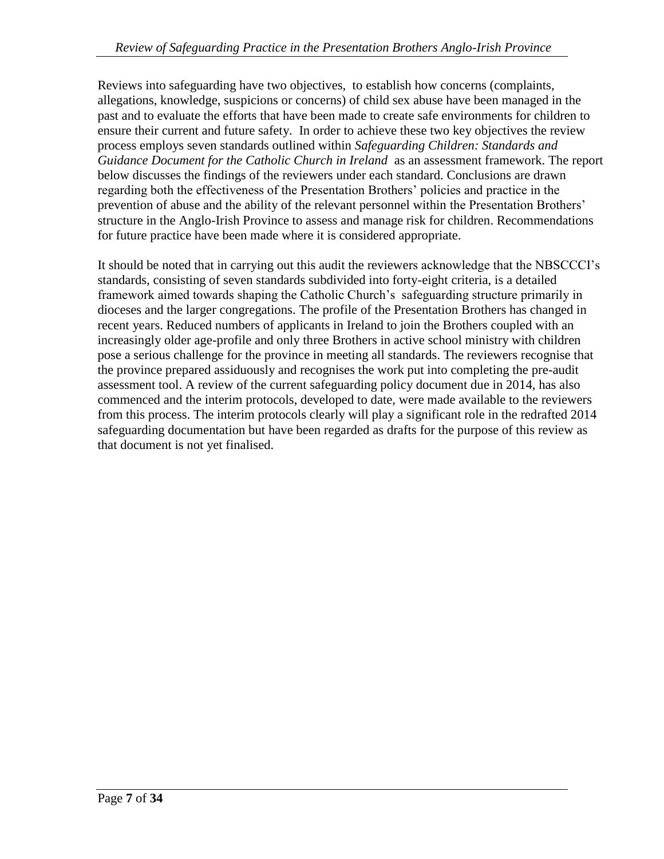Reviews into safeguarding have two objectives, to establish how concerns (complaints, allegations, knowledge, suspicions or concerns) of child sex abuse have been managed in the past and to evaluate the efforts that have been made to create safe environments for children to ensure their current and future safety. In order to achieve these two key objectives the review process employs seven standards outlined within *Safeguarding Children: Standards and Guidance Document for the Catholic Church in Ireland* as an assessment framework. The report below discusses the findings of the reviewers under each standard. Conclusions are drawn regarding both the effectiveness of the Presentation Brothers' policies and practice in the prevention of abuse and the ability of the relevant personnel within the Presentation Brothers' structure in the Anglo-Irish Province to assess and manage risk for children. Recommendations for future practice have been made where it is considered appropriate.

It should be noted that in carrying out this audit the reviewers acknowledge that the NBSCCCI's standards, consisting of seven standards subdivided into forty-eight criteria, is a detailed framework aimed towards shaping the Catholic Church's safeguarding structure primarily in dioceses and the larger congregations. The profile of the Presentation Brothers has changed in recent years. Reduced numbers of applicants in Ireland to join the Brothers coupled with an increasingly older age-profile and only three Brothers in active school ministry with children pose a serious challenge for the province in meeting all standards. The reviewers recognise that the province prepared assiduously and recognises the work put into completing the pre-audit assessment tool. A review of the current safeguarding policy document due in 2014, has also commenced and the interim protocols, developed to date, were made available to the reviewers from this process. The interim protocols clearly will play a significant role in the redrafted 2014 safeguarding documentation but have been regarded as drafts for the purpose of this review as that document is not yet finalised.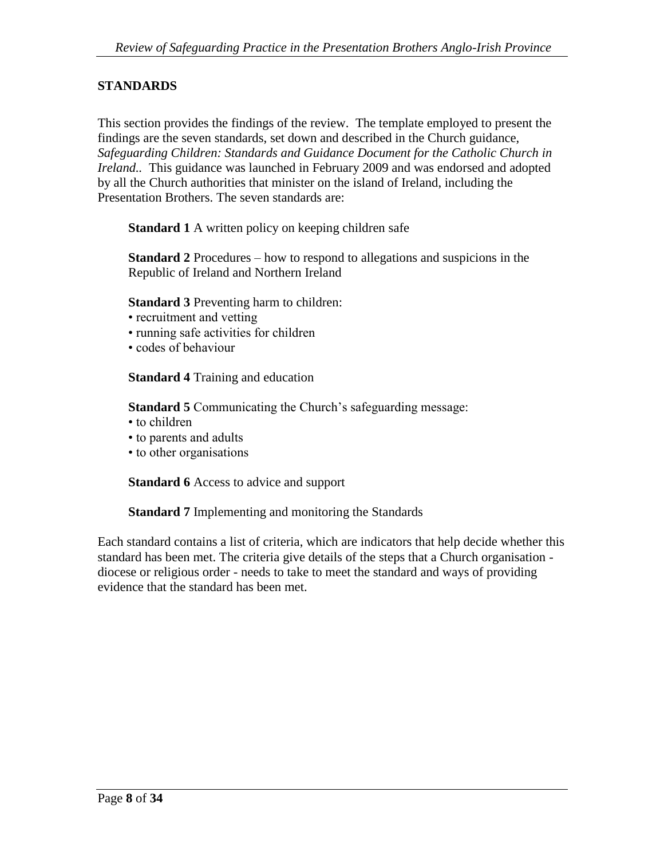### **STANDARDS**

This section provides the findings of the review. The template employed to present the findings are the seven standards, set down and described in the Church guidance, *Safeguarding Children: Standards and Guidance Document for the Catholic Church in Ireland..* This guidance was launched in February 2009 and was endorsed and adopted by all the Church authorities that minister on the island of Ireland, including the Presentation Brothers. The seven standards are:

**Standard 1** A written policy on keeping children safe

**Standard 2** Procedures – how to respond to allegations and suspicions in the Republic of Ireland and Northern Ireland

**Standard 3** Preventing harm to children:

- recruitment and vetting
- running safe activities for children
- codes of behaviour

**Standard 4** Training and education

**Standard 5** Communicating the Church's safeguarding message:

- to children
- to parents and adults
- to other organisations

**Standard 6** Access to advice and support

**Standard 7** Implementing and monitoring the Standards

Each standard contains a list of criteria, which are indicators that help decide whether this standard has been met. The criteria give details of the steps that a Church organisation diocese or religious order - needs to take to meet the standard and ways of providing evidence that the standard has been met.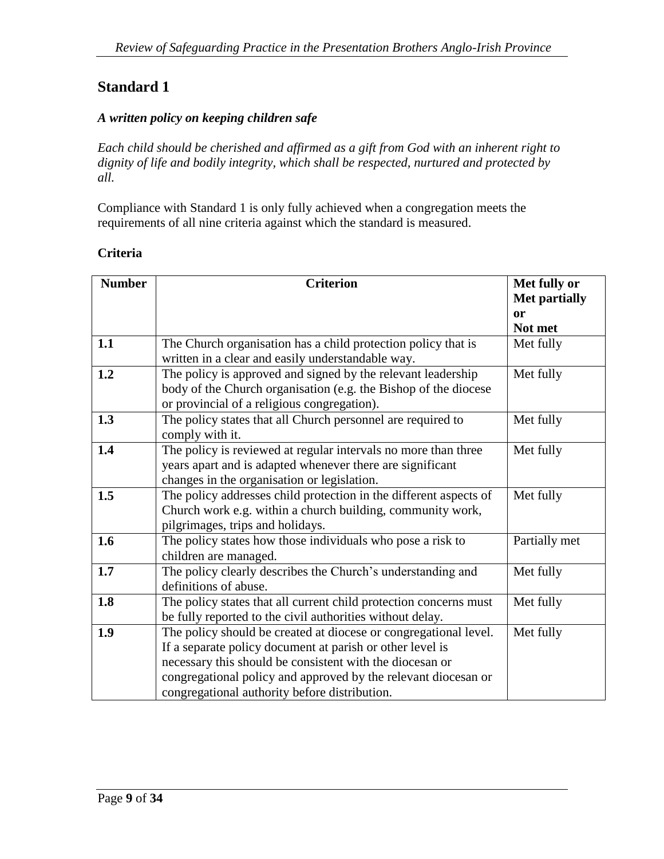#### *A written policy on keeping children safe*

*Each child should be cherished and affirmed as a gift from God with an inherent right to dignity of life and bodily integrity, which shall be respected, nurtured and protected by all.*

Compliance with Standard 1 is only fully achieved when a congregation meets the requirements of all nine criteria against which the standard is measured.

#### **Criteria**

| <b>Number</b> | <b>Criterion</b>                                                  | Met fully or         |
|---------------|-------------------------------------------------------------------|----------------------|
|               |                                                                   | <b>Met partially</b> |
|               |                                                                   | or                   |
|               |                                                                   | Not met              |
| 1.1           | The Church organisation has a child protection policy that is     | Met fully            |
|               | written in a clear and easily understandable way.                 |                      |
| 1.2           | The policy is approved and signed by the relevant leadership      | Met fully            |
|               | body of the Church organisation (e.g. the Bishop of the diocese   |                      |
|               | or provincial of a religious congregation).                       |                      |
| 1.3           | The policy states that all Church personnel are required to       | Met fully            |
|               | comply with it.                                                   |                      |
| 1.4           | The policy is reviewed at regular intervals no more than three    | Met fully            |
|               | years apart and is adapted whenever there are significant         |                      |
|               | changes in the organisation or legislation.                       |                      |
| 1.5           | The policy addresses child protection in the different aspects of | Met fully            |
|               | Church work e.g. within a church building, community work,        |                      |
|               | pilgrimages, trips and holidays.                                  |                      |
| 1.6           | The policy states how those individuals who pose a risk to        | Partially met        |
|               | children are managed.                                             |                      |
| 1.7           | The policy clearly describes the Church's understanding and       | Met fully            |
|               | definitions of abuse.                                             |                      |
| 1.8           | The policy states that all current child protection concerns must | Met fully            |
|               | be fully reported to the civil authorities without delay.         |                      |
| 1.9           | The policy should be created at diocese or congregational level.  | Met fully            |
|               | If a separate policy document at parish or other level is         |                      |
|               | necessary this should be consistent with the diocesan or          |                      |
|               | congregational policy and approved by the relevant diocesan or    |                      |
|               | congregational authority before distribution.                     |                      |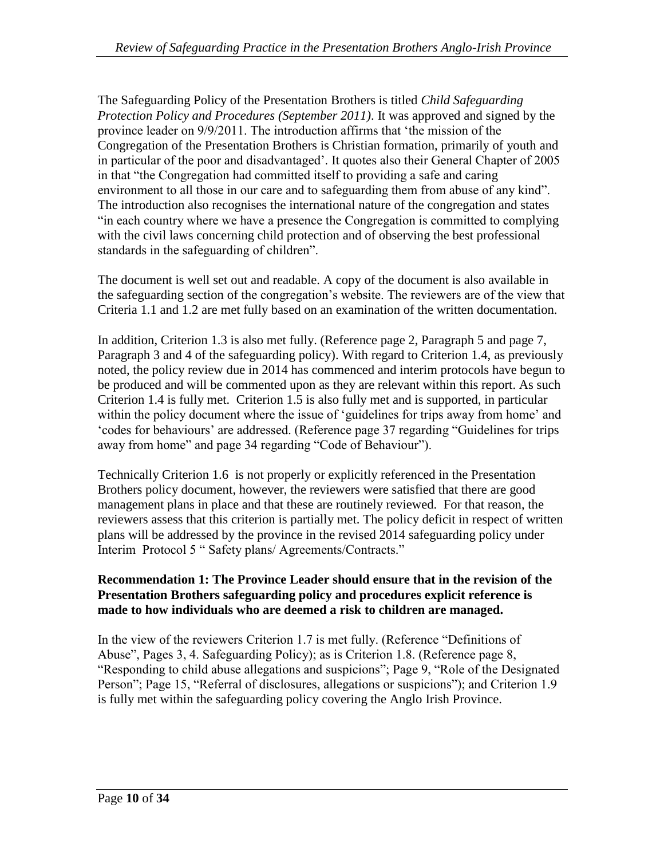The Safeguarding Policy of the Presentation Brothers is titled *Child Safeguarding Protection Policy and Procedures (September 2011)*. It was approved and signed by the province leader on 9/9/2011. The introduction affirms that 'the mission of the Congregation of the Presentation Brothers is Christian formation, primarily of youth and in particular of the poor and disadvantaged'. It quotes also their General Chapter of 2005 in that "the Congregation had committed itself to providing a safe and caring environment to all those in our care and to safeguarding them from abuse of any kind". The introduction also recognises the international nature of the congregation and states "in each country where we have a presence the Congregation is committed to complying with the civil laws concerning child protection and of observing the best professional standards in the safeguarding of children".

The document is well set out and readable. A copy of the document is also available in the safeguarding section of the congregation's website. The reviewers are of the view that Criteria 1.1 and 1.2 are met fully based on an examination of the written documentation.

In addition, Criterion 1.3 is also met fully. (Reference page 2, Paragraph 5 and page 7, Paragraph 3 and 4 of the safeguarding policy). With regard to Criterion 1.4, as previously noted, the policy review due in 2014 has commenced and interim protocols have begun to be produced and will be commented upon as they are relevant within this report. As such Criterion 1.4 is fully met. Criterion 1.5 is also fully met and is supported, in particular within the policy document where the issue of 'guidelines for trips away from home' and 'codes for behaviours' are addressed. (Reference page 37 regarding "Guidelines for trips away from home" and page 34 regarding "Code of Behaviour").

Technically Criterion 1.6 is not properly or explicitly referenced in the Presentation Brothers policy document, however, the reviewers were satisfied that there are good management plans in place and that these are routinely reviewed. For that reason, the reviewers assess that this criterion is partially met. The policy deficit in respect of written plans will be addressed by the province in the revised 2014 safeguarding policy under Interim Protocol 5 " Safety plans/ Agreements/Contracts."

#### **Recommendation 1: The Province Leader should ensure that in the revision of the Presentation Brothers safeguarding policy and procedures explicit reference is made to how individuals who are deemed a risk to children are managed.**

In the view of the reviewers Criterion 1.7 is met fully. (Reference "Definitions of Abuse", Pages 3, 4. Safeguarding Policy); as is Criterion 1.8. (Reference page 8, "Responding to child abuse allegations and suspicions"; Page 9, "Role of the Designated Person"; Page 15, "Referral of disclosures, allegations or suspicions"); and Criterion 1.9 is fully met within the safeguarding policy covering the Anglo Irish Province.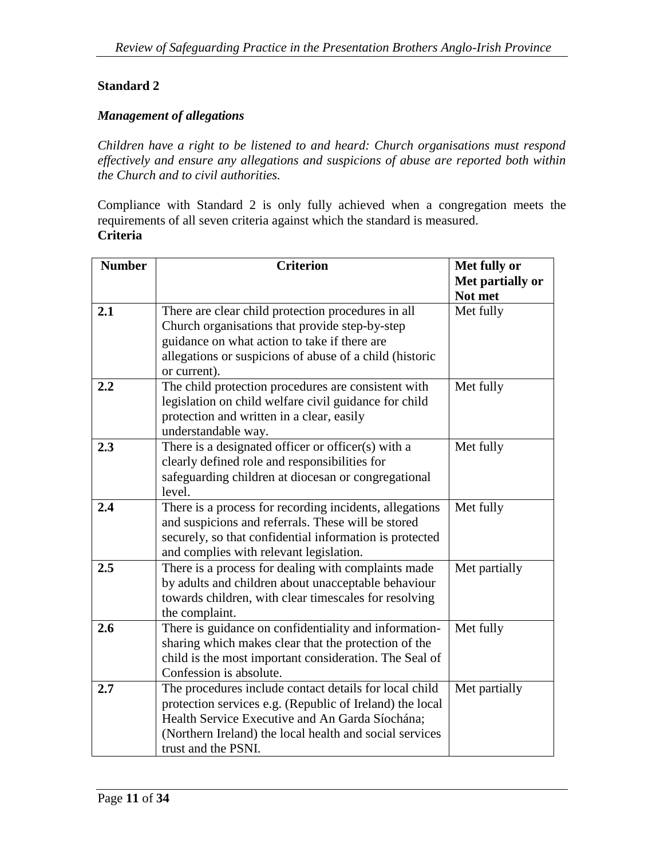#### *Management of allegations*

*Children have a right to be listened to and heard: Church organisations must respond effectively and ensure any allegations and suspicions of abuse are reported both within the Church and to civil authorities.*

Compliance with Standard 2 is only fully achieved when a congregation meets the requirements of all seven criteria against which the standard is measured. **Criteria**

| <b>Number</b> | <b>Criterion</b>                                         | Met fully or     |
|---------------|----------------------------------------------------------|------------------|
|               |                                                          | Met partially or |
|               |                                                          | Not met          |
| 2.1           | There are clear child protection procedures in all       | Met fully        |
|               | Church organisations that provide step-by-step           |                  |
|               | guidance on what action to take if there are             |                  |
|               | allegations or suspicions of abuse of a child (historic  |                  |
|               | or current).                                             |                  |
| 2.2           | The child protection procedures are consistent with      | Met fully        |
|               | legislation on child welfare civil guidance for child    |                  |
|               | protection and written in a clear, easily                |                  |
|               | understandable way.                                      |                  |
| 2.3           | There is a designated officer or officer(s) with a       | Met fully        |
|               | clearly defined role and responsibilities for            |                  |
|               | safeguarding children at diocesan or congregational      |                  |
|               | level.                                                   |                  |
| 2.4           | There is a process for recording incidents, allegations  | Met fully        |
|               | and suspicions and referrals. These will be stored       |                  |
|               | securely, so that confidential information is protected  |                  |
|               | and complies with relevant legislation.                  |                  |
| 2.5           | There is a process for dealing with complaints made      | Met partially    |
|               | by adults and children about unacceptable behaviour      |                  |
|               | towards children, with clear timescales for resolving    |                  |
|               | the complaint.                                           |                  |
| 2.6           | There is guidance on confidentiality and information-    | Met fully        |
|               | sharing which makes clear that the protection of the     |                  |
|               | child is the most important consideration. The Seal of   |                  |
|               | Confession is absolute.                                  |                  |
| 2.7           | The procedures include contact details for local child   | Met partially    |
|               | protection services e.g. (Republic of Ireland) the local |                  |
|               | Health Service Executive and An Garda Síochána;          |                  |
|               | (Northern Ireland) the local health and social services  |                  |
|               | trust and the PSNI.                                      |                  |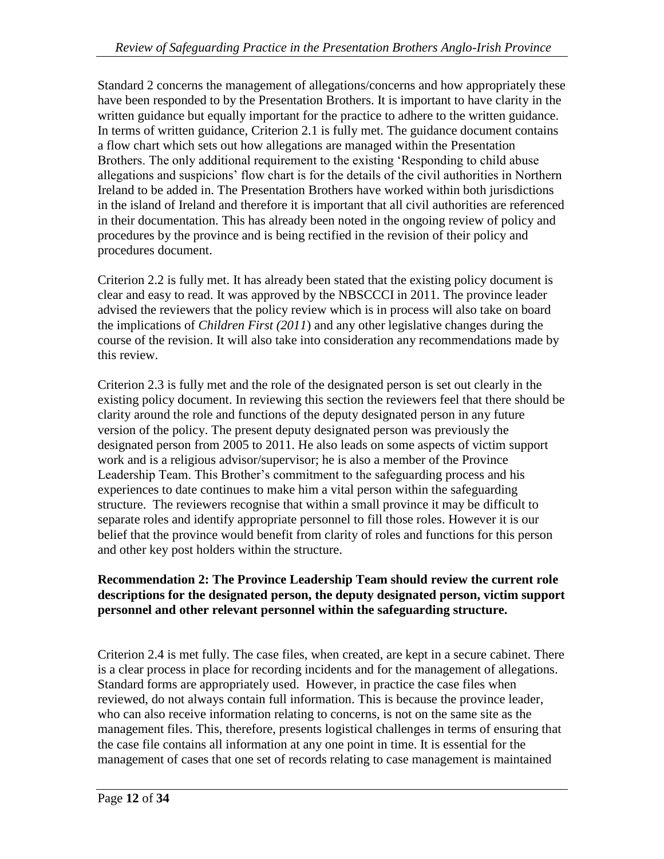Standard 2 concerns the management of allegations/concerns and how appropriately these have been responded to by the Presentation Brothers. It is important to have clarity in the written guidance but equally important for the practice to adhere to the written guidance. In terms of written guidance, Criterion 2.1 is fully met. The guidance document contains a flow chart which sets out how allegations are managed within the Presentation Brothers. The only additional requirement to the existing 'Responding to child abuse allegations and suspicions' flow chart is for the details of the civil authorities in Northern Ireland to be added in. The Presentation Brothers have worked within both jurisdictions in the island of Ireland and therefore it is important that all civil authorities are referenced in their documentation. This has already been noted in the ongoing review of policy and procedures by the province and is being rectified in the revision of their policy and procedures document.

Criterion 2.2 is fully met. It has already been stated that the existing policy document is clear and easy to read. It was approved by the NBSCCCI in 2011. The province leader advised the reviewers that the policy review which is in process will also take on board the implications of *Children First (2011*) and any other legislative changes during the course of the revision. It will also take into consideration any recommendations made by this review.

Criterion 2.3 is fully met and the role of the designated person is set out clearly in the existing policy document. In reviewing this section the reviewers feel that there should be clarity around the role and functions of the deputy designated person in any future version of the policy. The present deputy designated person was previously the designated person from 2005 to 2011. He also leads on some aspects of victim support work and is a religious advisor/supervisor; he is also a member of the Province Leadership Team. This Brother's commitment to the safeguarding process and his experiences to date continues to make him a vital person within the safeguarding structure. The reviewers recognise that within a small province it may be difficult to separate roles and identify appropriate personnel to fill those roles. However it is our belief that the province would benefit from clarity of roles and functions for this person and other key post holders within the structure.

#### **Recommendation 2: The Province Leadership Team should review the current role descriptions for the designated person, the deputy designated person, victim support personnel and other relevant personnel within the safeguarding structure.**

Criterion 2.4 is met fully. The case files, when created, are kept in a secure cabinet. There is a clear process in place for recording incidents and for the management of allegations. Standard forms are appropriately used. However, in practice the case files when reviewed, do not always contain full information. This is because the province leader, who can also receive information relating to concerns, is not on the same site as the management files. This, therefore, presents logistical challenges in terms of ensuring that the case file contains all information at any one point in time. It is essential for the management of cases that one set of records relating to case management is maintained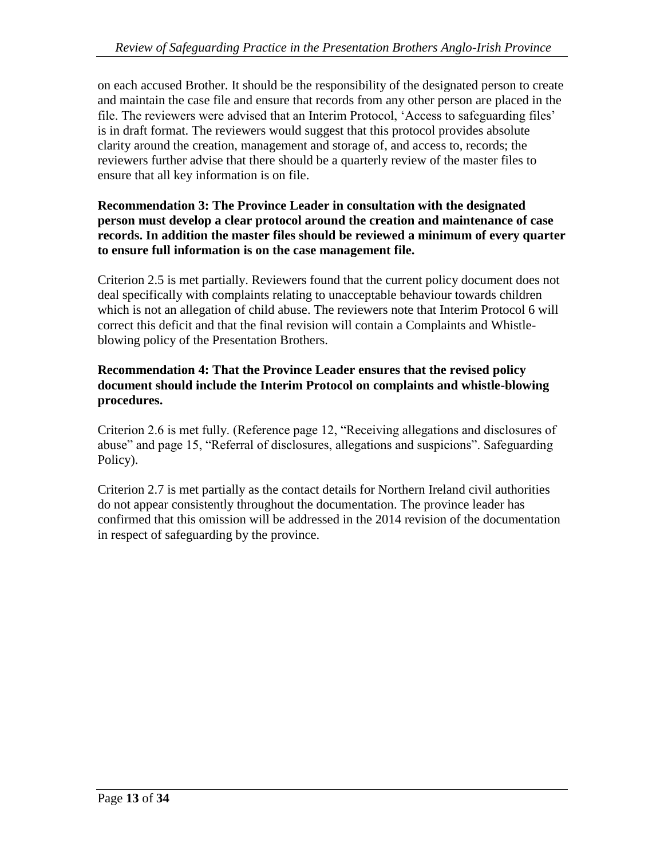on each accused Brother. It should be the responsibility of the designated person to create and maintain the case file and ensure that records from any other person are placed in the file. The reviewers were advised that an Interim Protocol, 'Access to safeguarding files' is in draft format. The reviewers would suggest that this protocol provides absolute clarity around the creation, management and storage of, and access to, records; the reviewers further advise that there should be a quarterly review of the master files to ensure that all key information is on file.

#### **Recommendation 3: The Province Leader in consultation with the designated person must develop a clear protocol around the creation and maintenance of case records. In addition the master files should be reviewed a minimum of every quarter to ensure full information is on the case management file.**

Criterion 2.5 is met partially. Reviewers found that the current policy document does not deal specifically with complaints relating to unacceptable behaviour towards children which is not an allegation of child abuse. The reviewers note that Interim Protocol 6 will correct this deficit and that the final revision will contain a Complaints and Whistleblowing policy of the Presentation Brothers.

#### **Recommendation 4: That the Province Leader ensures that the revised policy document should include the Interim Protocol on complaints and whistle-blowing procedures.**

Criterion 2.6 is met fully. (Reference page 12, "Receiving allegations and disclosures of abuse" and page 15, "Referral of disclosures, allegations and suspicions". Safeguarding Policy).

Criterion 2.7 is met partially as the contact details for Northern Ireland civil authorities do not appear consistently throughout the documentation. The province leader has confirmed that this omission will be addressed in the 2014 revision of the documentation in respect of safeguarding by the province.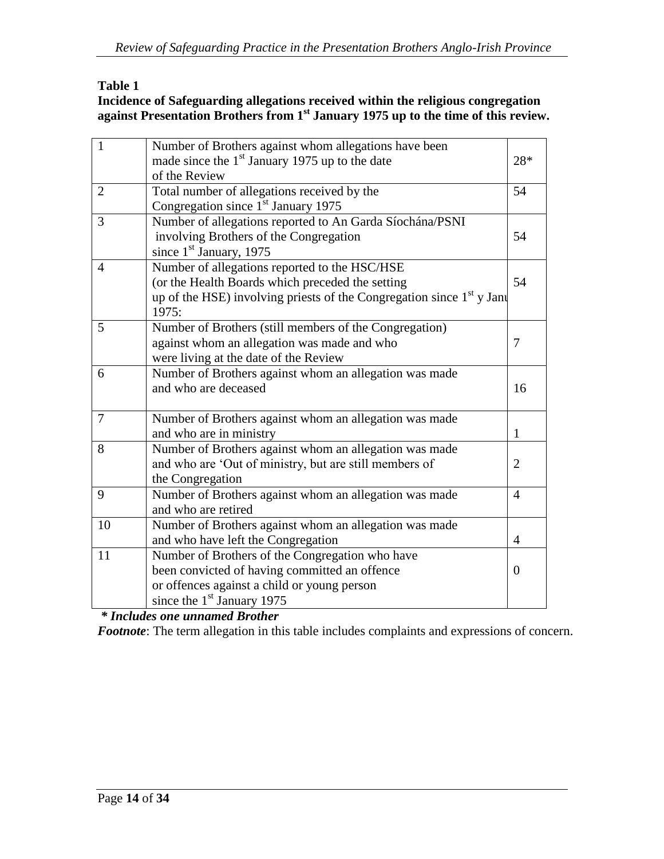### **Table 1**

### **Incidence of Safeguarding allegations received within the religious congregation against Presentation Brothers from 1st January 1975 up to the time of this review.**

| $\mathbf{1}$   | Number of Brothers against whom allegations have been                           |                |
|----------------|---------------------------------------------------------------------------------|----------------|
|                | made since the $1st$ January 1975 up to the date                                | 28*            |
|                | of the Review                                                                   |                |
| $\overline{2}$ | Total number of allegations received by the                                     | 54             |
|                | Congregation since $1st$ January 1975                                           |                |
| 3              | Number of allegations reported to An Garda Síochána/PSNI                        |                |
|                | involving Brothers of the Congregation                                          | 54             |
|                | since $1st$ January, 1975                                                       |                |
| $\overline{4}$ | Number of allegations reported to the HSC/HSE                                   |                |
|                | (or the Health Boards which preceded the setting                                | 54             |
|                | up of the HSE) involving priests of the Congregation since $1st$ y Jan<br>1975: |                |
| 5              |                                                                                 |                |
|                | Number of Brothers (still members of the Congregation)                          | 7              |
|                | against whom an allegation was made and who                                     |                |
| 6              | were living at the date of the Review                                           |                |
|                | Number of Brothers against whom an allegation was made<br>and who are deceased  | 16             |
|                |                                                                                 |                |
| $\overline{7}$ | Number of Brothers against whom an allegation was made                          |                |
|                | and who are in ministry                                                         | 1              |
| 8              | Number of Brothers against whom an allegation was made                          |                |
|                | and who are 'Out of ministry, but are still members of                          | $\overline{2}$ |
|                | the Congregation                                                                |                |
| 9              | Number of Brothers against whom an allegation was made                          | $\overline{4}$ |
|                | and who are retired                                                             |                |
| 10             | Number of Brothers against whom an allegation was made                          |                |
|                | and who have left the Congregation                                              | $\overline{4}$ |
| 11             | Number of Brothers of the Congregation who have                                 |                |
|                | been convicted of having committed an offence                                   | $\theta$       |
|                | or offences against a child or young person                                     |                |
|                | since the 1 <sup>st</sup> January 1975                                          |                |

*\* Includes one unnamed Brother*

*Footnote*: The term allegation in this table includes complaints and expressions of concern.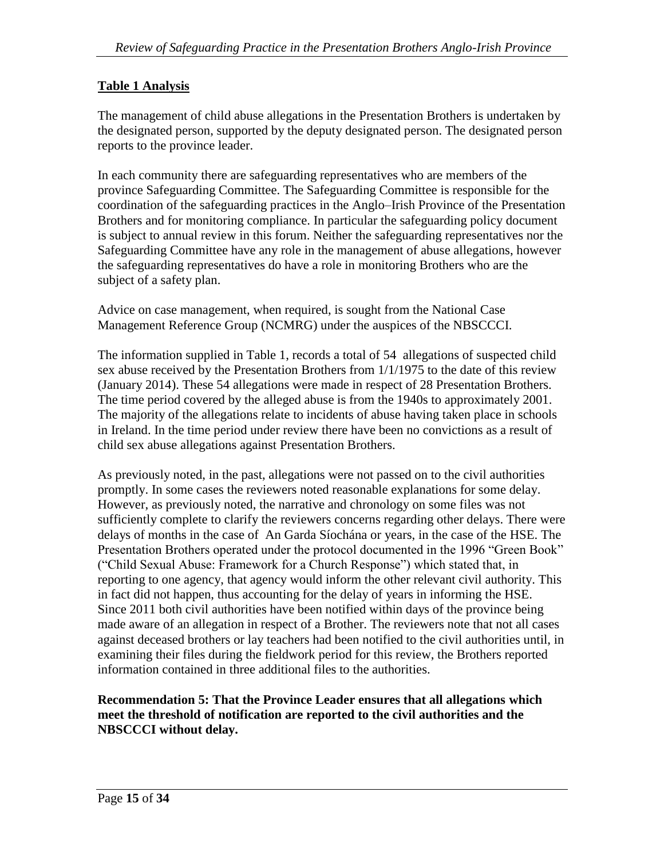### **Table 1 Analysis**

The management of child abuse allegations in the Presentation Brothers is undertaken by the designated person, supported by the deputy designated person. The designated person reports to the province leader.

In each community there are safeguarding representatives who are members of the province Safeguarding Committee. The Safeguarding Committee is responsible for the coordination of the safeguarding practices in the Anglo–Irish Province of the Presentation Brothers and for monitoring compliance. In particular the safeguarding policy document is subject to annual review in this forum. Neither the safeguarding representatives nor the Safeguarding Committee have any role in the management of abuse allegations, however the safeguarding representatives do have a role in monitoring Brothers who are the subject of a safety plan.

Advice on case management, when required, is sought from the National Case Management Reference Group (NCMRG) under the auspices of the NBSCCCI.

The information supplied in Table 1, records a total of 54 allegations of suspected child sex abuse received by the Presentation Brothers from 1/1/1975 to the date of this review (January 2014). These 54 allegations were made in respect of 28 Presentation Brothers. The time period covered by the alleged abuse is from the 1940s to approximately 2001. The majority of the allegations relate to incidents of abuse having taken place in schools in Ireland. In the time period under review there have been no convictions as a result of child sex abuse allegations against Presentation Brothers.

As previously noted, in the past, allegations were not passed on to the civil authorities promptly. In some cases the reviewers noted reasonable explanations for some delay. However, as previously noted, the narrative and chronology on some files was not sufficiently complete to clarify the reviewers concerns regarding other delays. There were delays of months in the case of An Garda Síochána or years, in the case of the HSE. The Presentation Brothers operated under the protocol documented in the 1996 "Green Book" ("Child Sexual Abuse: Framework for a Church Response") which stated that, in reporting to one agency, that agency would inform the other relevant civil authority. This in fact did not happen, thus accounting for the delay of years in informing the HSE. Since 2011 both civil authorities have been notified within days of the province being made aware of an allegation in respect of a Brother. The reviewers note that not all cases against deceased brothers or lay teachers had been notified to the civil authorities until, in examining their files during the fieldwork period for this review, the Brothers reported information contained in three additional files to the authorities.

**Recommendation 5: That the Province Leader ensures that all allegations which meet the threshold of notification are reported to the civil authorities and the NBSCCCI without delay.**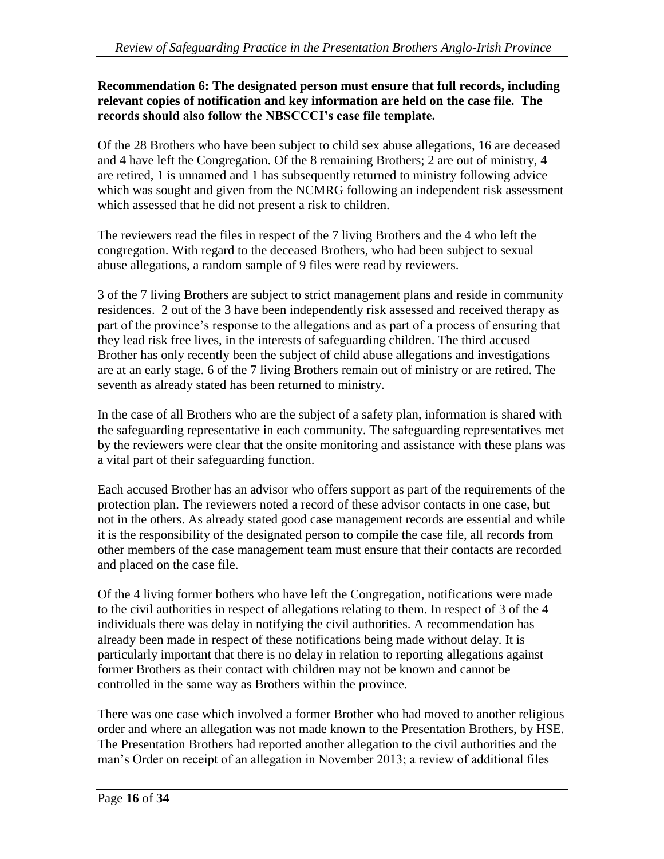#### **Recommendation 6: The designated person must ensure that full records, including relevant copies of notification and key information are held on the case file. The records should also follow the NBSCCCI's case file template.**

Of the 28 Brothers who have been subject to child sex abuse allegations, 16 are deceased and 4 have left the Congregation. Of the 8 remaining Brothers; 2 are out of ministry, 4 are retired, 1 is unnamed and 1 has subsequently returned to ministry following advice which was sought and given from the NCMRG following an independent risk assessment which assessed that he did not present a risk to children.

The reviewers read the files in respect of the 7 living Brothers and the 4 who left the congregation. With regard to the deceased Brothers, who had been subject to sexual abuse allegations, a random sample of 9 files were read by reviewers.

3 of the 7 living Brothers are subject to strict management plans and reside in community residences. 2 out of the 3 have been independently risk assessed and received therapy as part of the province's response to the allegations and as part of a process of ensuring that they lead risk free lives, in the interests of safeguarding children. The third accused Brother has only recently been the subject of child abuse allegations and investigations are at an early stage. 6 of the 7 living Brothers remain out of ministry or are retired. The seventh as already stated has been returned to ministry.

In the case of all Brothers who are the subject of a safety plan, information is shared with the safeguarding representative in each community. The safeguarding representatives met by the reviewers were clear that the onsite monitoring and assistance with these plans was a vital part of their safeguarding function.

Each accused Brother has an advisor who offers support as part of the requirements of the protection plan. The reviewers noted a record of these advisor contacts in one case, but not in the others. As already stated good case management records are essential and while it is the responsibility of the designated person to compile the case file, all records from other members of the case management team must ensure that their contacts are recorded and placed on the case file.

Of the 4 living former bothers who have left the Congregation, notifications were made to the civil authorities in respect of allegations relating to them. In respect of 3 of the 4 individuals there was delay in notifying the civil authorities. A recommendation has already been made in respect of these notifications being made without delay. It is particularly important that there is no delay in relation to reporting allegations against former Brothers as their contact with children may not be known and cannot be controlled in the same way as Brothers within the province.

There was one case which involved a former Brother who had moved to another religious order and where an allegation was not made known to the Presentation Brothers, by HSE. The Presentation Brothers had reported another allegation to the civil authorities and the man's Order on receipt of an allegation in November 2013; a review of additional files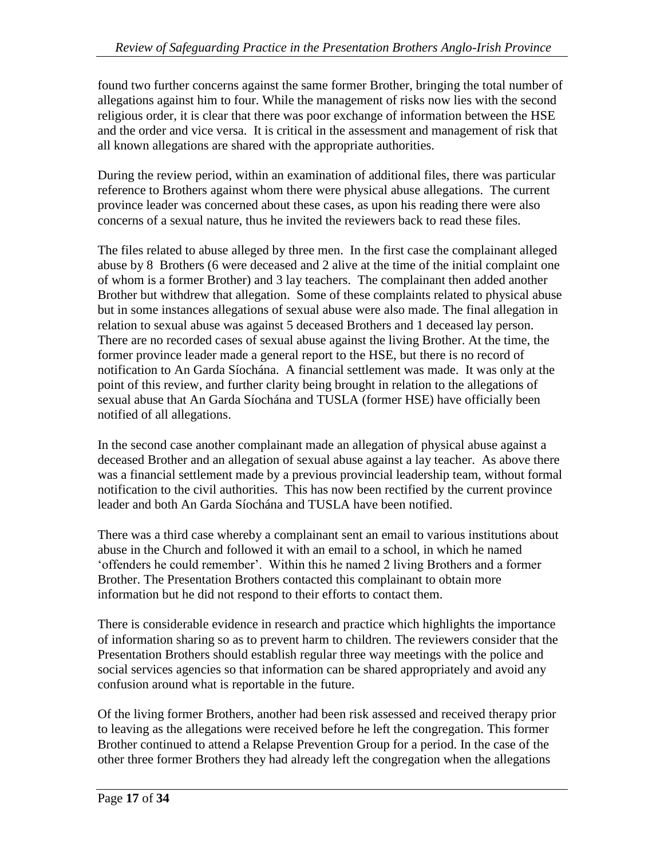found two further concerns against the same former Brother, bringing the total number of allegations against him to four. While the management of risks now lies with the second religious order, it is clear that there was poor exchange of information between the HSE and the order and vice versa. It is critical in the assessment and management of risk that all known allegations are shared with the appropriate authorities.

During the review period, within an examination of additional files, there was particular reference to Brothers against whom there were physical abuse allegations. The current province leader was concerned about these cases, as upon his reading there were also concerns of a sexual nature, thus he invited the reviewers back to read these files.

The files related to abuse alleged by three men. In the first case the complainant alleged abuse by 8 Brothers (6 were deceased and 2 alive at the time of the initial complaint one of whom is a former Brother) and 3 lay teachers. The complainant then added another Brother but withdrew that allegation. Some of these complaints related to physical abuse but in some instances allegations of sexual abuse were also made. The final allegation in relation to sexual abuse was against 5 deceased Brothers and 1 deceased lay person. There are no recorded cases of sexual abuse against the living Brother. At the time, the former province leader made a general report to the HSE, but there is no record of notification to An Garda Síochána. A financial settlement was made. It was only at the point of this review, and further clarity being brought in relation to the allegations of sexual abuse that An Garda Síochána and TUSLA (former HSE) have officially been notified of all allegations.

In the second case another complainant made an allegation of physical abuse against a deceased Brother and an allegation of sexual abuse against a lay teacher. As above there was a financial settlement made by a previous provincial leadership team, without formal notification to the civil authorities. This has now been rectified by the current province leader and both An Garda Síochána and TUSLA have been notified.

There was a third case whereby a complainant sent an email to various institutions about abuse in the Church and followed it with an email to a school, in which he named 'offenders he could remember'. Within this he named 2 living Brothers and a former Brother. The Presentation Brothers contacted this complainant to obtain more information but he did not respond to their efforts to contact them.

There is considerable evidence in research and practice which highlights the importance of information sharing so as to prevent harm to children. The reviewers consider that the Presentation Brothers should establish regular three way meetings with the police and social services agencies so that information can be shared appropriately and avoid any confusion around what is reportable in the future.

Of the living former Brothers, another had been risk assessed and received therapy prior to leaving as the allegations were received before he left the congregation. This former Brother continued to attend a Relapse Prevention Group for a period. In the case of the other three former Brothers they had already left the congregation when the allegations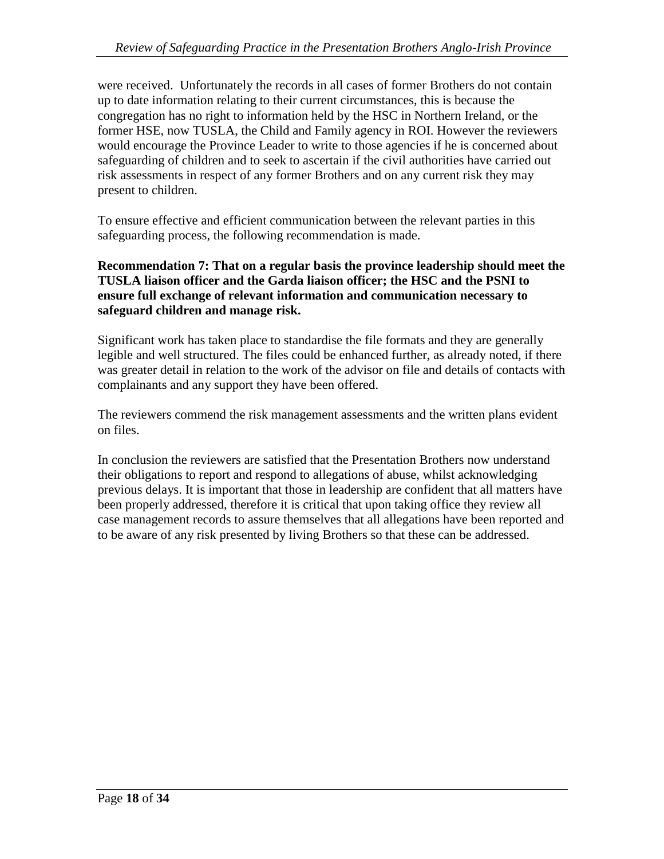were received. Unfortunately the records in all cases of former Brothers do not contain up to date information relating to their current circumstances, this is because the congregation has no right to information held by the HSC in Northern Ireland, or the former HSE, now TUSLA, the Child and Family agency in ROI. However the reviewers would encourage the Province Leader to write to those agencies if he is concerned about safeguarding of children and to seek to ascertain if the civil authorities have carried out risk assessments in respect of any former Brothers and on any current risk they may present to children.

To ensure effective and efficient communication between the relevant parties in this safeguarding process, the following recommendation is made.

#### **Recommendation 7: That on a regular basis the province leadership should meet the TUSLA liaison officer and the Garda liaison officer; the HSC and the PSNI to ensure full exchange of relevant information and communication necessary to safeguard children and manage risk.**

Significant work has taken place to standardise the file formats and they are generally legible and well structured. The files could be enhanced further, as already noted, if there was greater detail in relation to the work of the advisor on file and details of contacts with complainants and any support they have been offered.

The reviewers commend the risk management assessments and the written plans evident on files.

In conclusion the reviewers are satisfied that the Presentation Brothers now understand their obligations to report and respond to allegations of abuse, whilst acknowledging previous delays. It is important that those in leadership are confident that all matters have been properly addressed, therefore it is critical that upon taking office they review all case management records to assure themselves that all allegations have been reported and to be aware of any risk presented by living Brothers so that these can be addressed.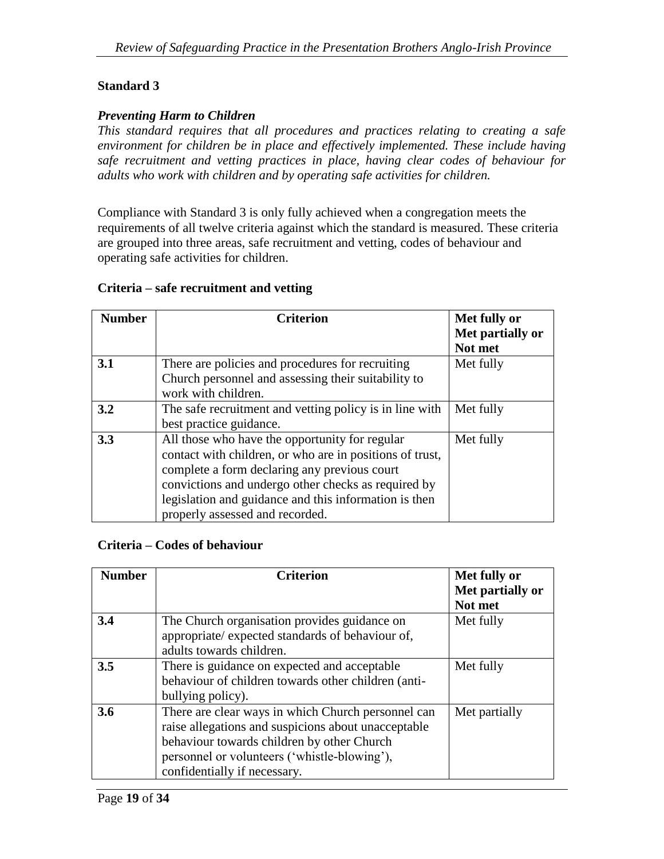#### *Preventing Harm to Children*

*This standard requires that all procedures and practices relating to creating a safe environment for children be in place and effectively implemented. These include having safe recruitment and vetting practices in place, having clear codes of behaviour for adults who work with children and by operating safe activities for children.*

Compliance with Standard 3 is only fully achieved when a congregation meets the requirements of all twelve criteria against which the standard is measured. These criteria are grouped into three areas, safe recruitment and vetting, codes of behaviour and operating safe activities for children.

#### **Criteria – safe recruitment and vetting**

| <b>Number</b> | <b>Criterion</b>                                                                                                                                                                                                                                                                                              | Met fully or<br>Met partially or |
|---------------|---------------------------------------------------------------------------------------------------------------------------------------------------------------------------------------------------------------------------------------------------------------------------------------------------------------|----------------------------------|
|               |                                                                                                                                                                                                                                                                                                               | Not met                          |
| 3.1           | There are policies and procedures for recruiting<br>Church personnel and assessing their suitability to<br>work with children.                                                                                                                                                                                | Met fully                        |
| 3.2           | The safe recruitment and vetting policy is in line with<br>best practice guidance.                                                                                                                                                                                                                            | Met fully                        |
| 3.3           | All those who have the opportunity for regular<br>contact with children, or who are in positions of trust,<br>complete a form declaring any previous court<br>convictions and undergo other checks as required by<br>legislation and guidance and this information is then<br>properly assessed and recorded. | Met fully                        |

#### **Criteria – Codes of behaviour**

| <b>Number</b> | <b>Criterion</b>                                                                                                                                                                                                                        | Met fully or<br>Met partially or<br>Not met |
|---------------|-----------------------------------------------------------------------------------------------------------------------------------------------------------------------------------------------------------------------------------------|---------------------------------------------|
| 3.4           | The Church organisation provides guidance on<br>appropriate/ expected standards of behaviour of,<br>adults towards children.                                                                                                            | Met fully                                   |
| 3.5           | There is guidance on expected and acceptable<br>behaviour of children towards other children (anti-<br>bullying policy).                                                                                                                | Met fully                                   |
| 3.6           | There are clear ways in which Church personnel can<br>raise allegations and suspicions about unacceptable<br>behaviour towards children by other Church<br>personnel or volunteers ('whistle-blowing'),<br>confidentially if necessary. | Met partially                               |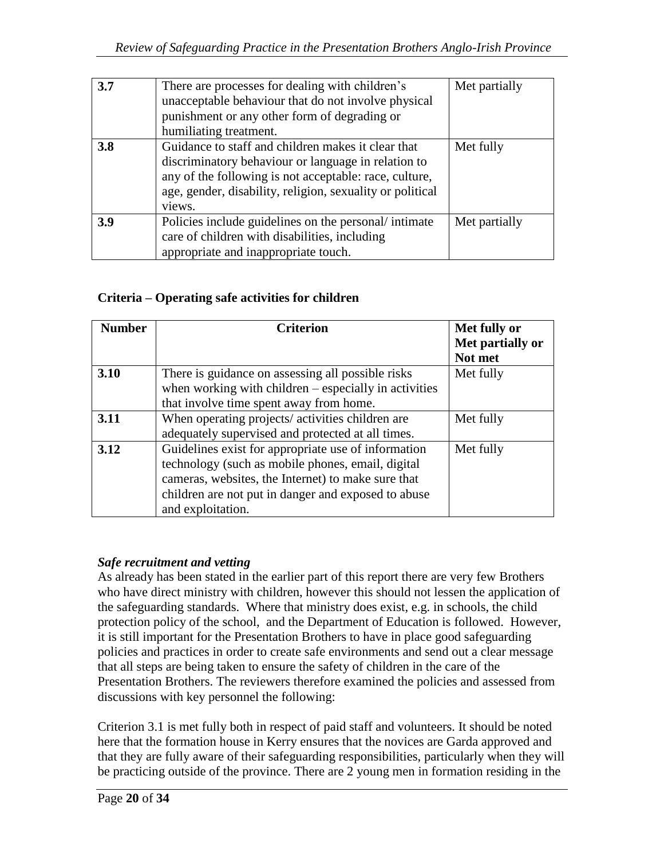| 3.7 | There are processes for dealing with children's<br>unacceptable behaviour that do not involve physical<br>punishment or any other form of degrading or<br>humiliating treatment.                                                           | Met partially |
|-----|--------------------------------------------------------------------------------------------------------------------------------------------------------------------------------------------------------------------------------------------|---------------|
| 3.8 | Guidance to staff and children makes it clear that<br>discriminatory behaviour or language in relation to<br>any of the following is not acceptable: race, culture,<br>age, gender, disability, religion, sexuality or political<br>views. | Met fully     |
| 3.9 | Policies include guidelines on the personal/intimate<br>care of children with disabilities, including<br>appropriate and inappropriate touch.                                                                                              | Met partially |

### **Criteria – Operating safe activities for children**

| <b>Number</b> | <b>Criterion</b>                                        | Met fully or     |
|---------------|---------------------------------------------------------|------------------|
|               |                                                         | Met partially or |
|               |                                                         | Not met          |
| 3.10          | There is guidance on assessing all possible risks       | Met fully        |
|               | when working with children $-$ especially in activities |                  |
|               | that involve time spent away from home.                 |                  |
| 3.11          | When operating projects/activities children are         | Met fully        |
|               | adequately supervised and protected at all times.       |                  |
| 3.12          | Guidelines exist for appropriate use of information     | Met fully        |
|               | technology (such as mobile phones, email, digital       |                  |
|               | cameras, websites, the Internet) to make sure that      |                  |
|               | children are not put in danger and exposed to abuse     |                  |
|               | and exploitation.                                       |                  |

### *Safe recruitment and vetting*

As already has been stated in the earlier part of this report there are very few Brothers who have direct ministry with children, however this should not lessen the application of the safeguarding standards. Where that ministry does exist, e.g. in schools, the child protection policy of the school, and the Department of Education is followed. However, it is still important for the Presentation Brothers to have in place good safeguarding policies and practices in order to create safe environments and send out a clear message that all steps are being taken to ensure the safety of children in the care of the Presentation Brothers. The reviewers therefore examined the policies and assessed from discussions with key personnel the following:

Criterion 3.1 is met fully both in respect of paid staff and volunteers. It should be noted here that the formation house in Kerry ensures that the novices are Garda approved and that they are fully aware of their safeguarding responsibilities, particularly when they will be practicing outside of the province. There are 2 young men in formation residing in the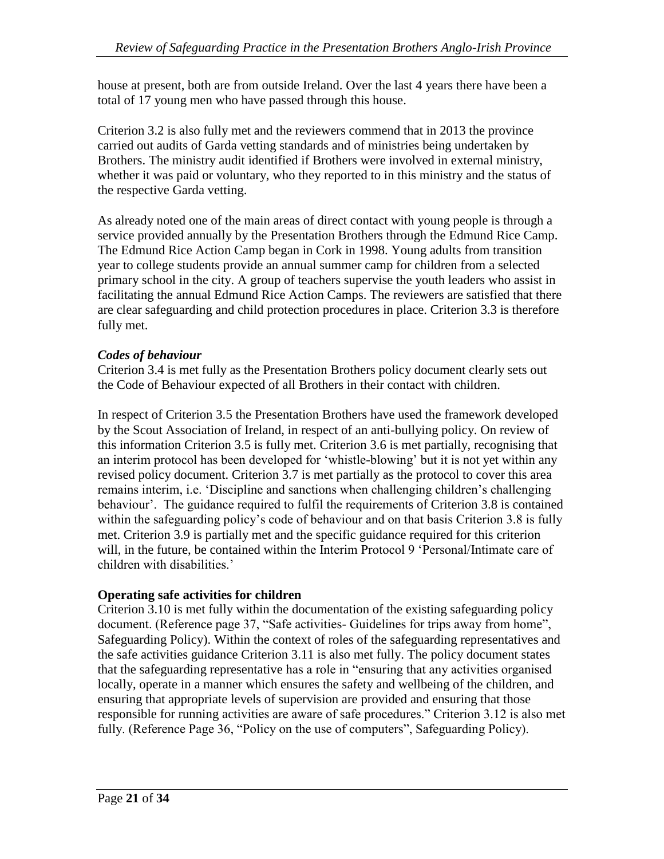house at present, both are from outside Ireland. Over the last 4 years there have been a total of 17 young men who have passed through this house.

Criterion 3.2 is also fully met and the reviewers commend that in 2013 the province carried out audits of Garda vetting standards and of ministries being undertaken by Brothers. The ministry audit identified if Brothers were involved in external ministry, whether it was paid or voluntary, who they reported to in this ministry and the status of the respective Garda vetting.

As already noted one of the main areas of direct contact with young people is through a service provided annually by the Presentation Brothers through the Edmund Rice Camp. The Edmund Rice Action Camp began in Cork in 1998. Young adults from transition year to college students provide an annual summer camp for children from a selected primary school in the city. A group of teachers supervise the youth leaders who assist in facilitating the annual Edmund Rice Action Camps. The reviewers are satisfied that there are clear safeguarding and child protection procedures in place. Criterion 3.3 is therefore fully met.

### *Codes of behaviour*

Criterion 3.4 is met fully as the Presentation Brothers policy document clearly sets out the Code of Behaviour expected of all Brothers in their contact with children.

In respect of Criterion 3.5 the Presentation Brothers have used the framework developed by the Scout Association of Ireland, in respect of an anti-bullying policy. On review of this information Criterion 3.5 is fully met. Criterion 3.6 is met partially, recognising that an interim protocol has been developed for 'whistle-blowing' but it is not yet within any revised policy document. Criterion 3.7 is met partially as the protocol to cover this area remains interim, i.e. 'Discipline and sanctions when challenging children's challenging behaviour'. The guidance required to fulfil the requirements of Criterion 3.8 is contained within the safeguarding policy's code of behaviour and on that basis Criterion 3.8 is fully met. Criterion 3.9 is partially met and the specific guidance required for this criterion will, in the future, be contained within the Interim Protocol 9 'Personal/Intimate care of children with disabilities.'

# **Operating safe activities for children**

Criterion 3.10 is met fully within the documentation of the existing safeguarding policy document. (Reference page 37, "Safe activities- Guidelines for trips away from home", Safeguarding Policy). Within the context of roles of the safeguarding representatives and the safe activities guidance Criterion 3.11 is also met fully. The policy document states that the safeguarding representative has a role in "ensuring that any activities organised locally, operate in a manner which ensures the safety and wellbeing of the children, and ensuring that appropriate levels of supervision are provided and ensuring that those responsible for running activities are aware of safe procedures." Criterion 3.12 is also met fully. (Reference Page 36, "Policy on the use of computers", Safeguarding Policy).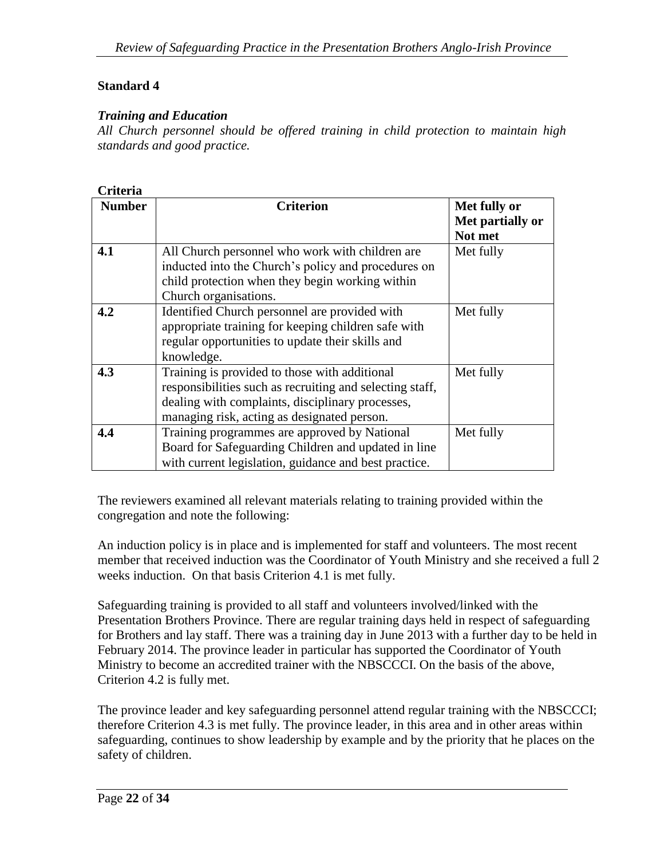#### *Training and Education*

*All Church personnel should be offered training in child protection to maintain high standards and good practice.*

### **Criteria**

| <b>Number</b> | <b>Criterion</b>                                         | Met fully or     |
|---------------|----------------------------------------------------------|------------------|
|               |                                                          | Met partially or |
|               |                                                          | Not met          |
| 4.1           | All Church personnel who work with children are          | Met fully        |
|               | inducted into the Church's policy and procedures on      |                  |
|               | child protection when they begin working within          |                  |
|               | Church organisations.                                    |                  |
| 4.2           | Identified Church personnel are provided with            | Met fully        |
|               | appropriate training for keeping children safe with      |                  |
|               | regular opportunities to update their skills and         |                  |
|               | knowledge.                                               |                  |
| 4.3           | Training is provided to those with additional            | Met fully        |
|               | responsibilities such as recruiting and selecting staff, |                  |
|               | dealing with complaints, disciplinary processes,         |                  |
|               | managing risk, acting as designated person.              |                  |
| 4.4           | Training programmes are approved by National             | Met fully        |
|               | Board for Safeguarding Children and updated in line      |                  |
|               | with current legislation, guidance and best practice.    |                  |

The reviewers examined all relevant materials relating to training provided within the congregation and note the following:

An induction policy is in place and is implemented for staff and volunteers. The most recent member that received induction was the Coordinator of Youth Ministry and she received a full 2 weeks induction. On that basis Criterion 4.1 is met fully.

Safeguarding training is provided to all staff and volunteers involved/linked with the Presentation Brothers Province. There are regular training days held in respect of safeguarding for Brothers and lay staff. There was a training day in June 2013 with a further day to be held in February 2014. The province leader in particular has supported the Coordinator of Youth Ministry to become an accredited trainer with the NBSCCCI. On the basis of the above, Criterion 4.2 is fully met.

The province leader and key safeguarding personnel attend regular training with the NBSCCCI; therefore Criterion 4.3 is met fully. The province leader, in this area and in other areas within safeguarding, continues to show leadership by example and by the priority that he places on the safety of children.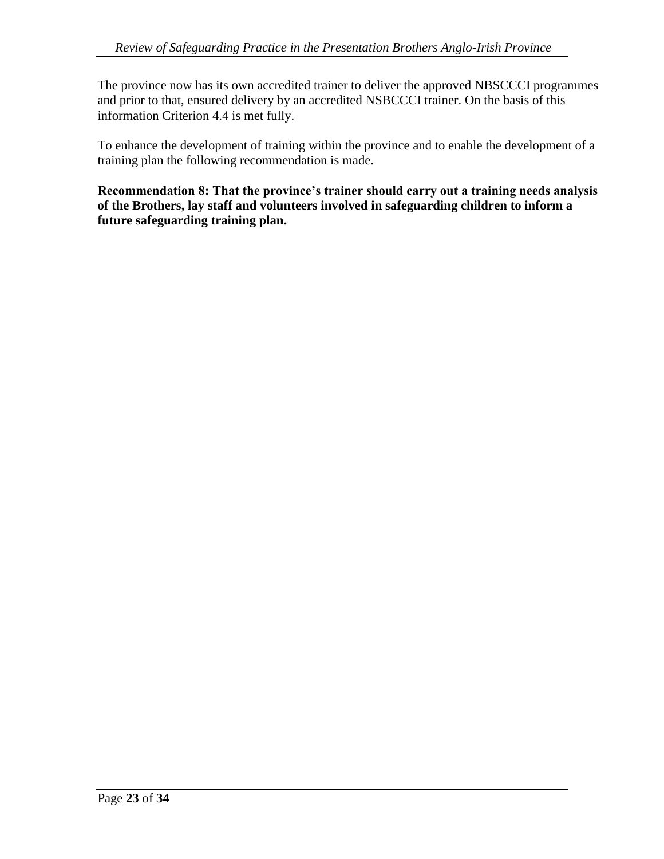The province now has its own accredited trainer to deliver the approved NBSCCCI programmes and prior to that, ensured delivery by an accredited NSBCCCI trainer. On the basis of this information Criterion 4.4 is met fully.

To enhance the development of training within the province and to enable the development of a training plan the following recommendation is made.

**Recommendation 8: That the province's trainer should carry out a training needs analysis of the Brothers, lay staff and volunteers involved in safeguarding children to inform a future safeguarding training plan.**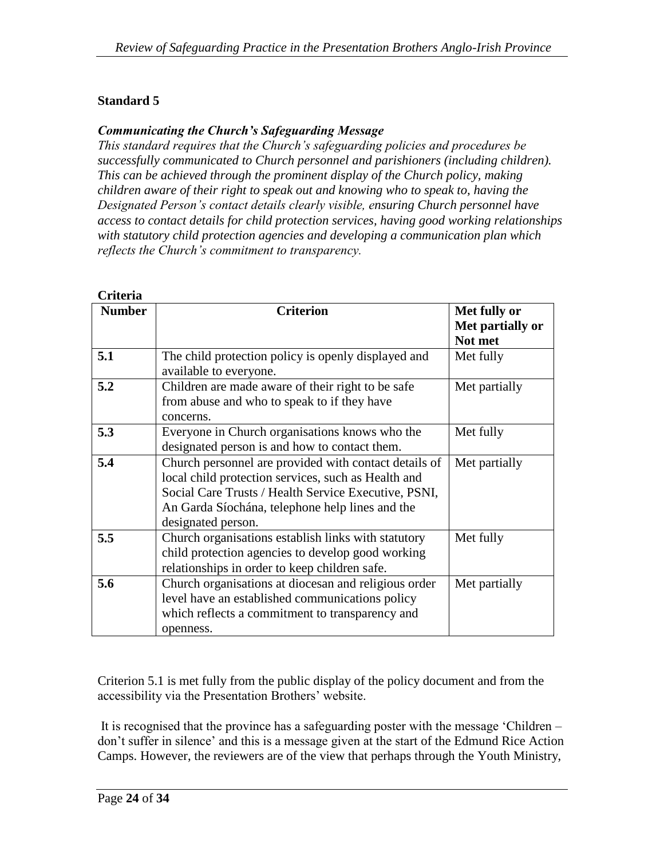#### *Communicating the Church's Safeguarding Message*

*This standard requires that the Church's safeguarding policies and procedures be successfully communicated to Church personnel and parishioners (including children). This can be achieved through the prominent display of the Church policy, making children aware of their right to speak out and knowing who to speak to, having the Designated Person's contact details clearly visible, ensuring Church personnel have access to contact details for child protection services, having good working relationships with statutory child protection agencies and developing a communication plan which reflects the Church's commitment to transparency.*

| Criteria      |                                                                                                                                                                                                                                               |                                             |
|---------------|-----------------------------------------------------------------------------------------------------------------------------------------------------------------------------------------------------------------------------------------------|---------------------------------------------|
| <b>Number</b> | <b>Criterion</b>                                                                                                                                                                                                                              | Met fully or<br>Met partially or<br>Not met |
| 5.1           | The child protection policy is openly displayed and<br>available to everyone.                                                                                                                                                                 | Met fully                                   |
| 5.2           | Children are made aware of their right to be safe<br>from abuse and who to speak to if they have<br>concerns.                                                                                                                                 | Met partially                               |
| 5.3           | Everyone in Church organisations knows who the<br>designated person is and how to contact them.                                                                                                                                               | Met fully                                   |
| 5.4           | Church personnel are provided with contact details of<br>local child protection services, such as Health and<br>Social Care Trusts / Health Service Executive, PSNI,<br>An Garda Síochána, telephone help lines and the<br>designated person. | Met partially                               |
| 5.5           | Church organisations establish links with statutory<br>child protection agencies to develop good working<br>relationships in order to keep children safe.                                                                                     | Met fully                                   |
| 5.6           | Church organisations at diocesan and religious order<br>level have an established communications policy<br>which reflects a commitment to transparency and<br>openness.                                                                       | Met partially                               |

Criterion 5.1 is met fully from the public display of the policy document and from the accessibility via the Presentation Brothers' website.

It is recognised that the province has a safeguarding poster with the message 'Children – don't suffer in silence' and this is a message given at the start of the Edmund Rice Action Camps. However, the reviewers are of the view that perhaps through the Youth Ministry,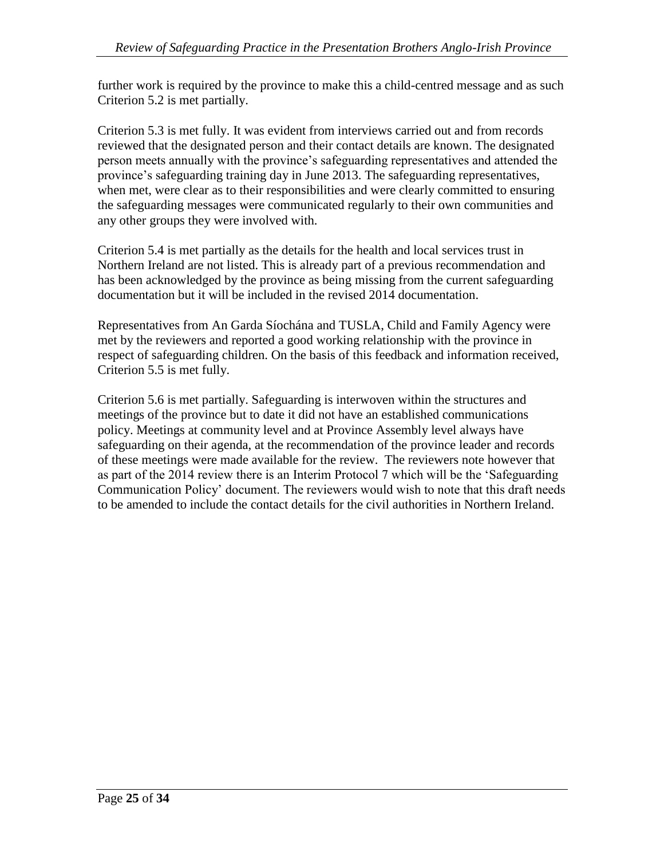further work is required by the province to make this a child-centred message and as such Criterion 5.2 is met partially.

Criterion 5.3 is met fully. It was evident from interviews carried out and from records reviewed that the designated person and their contact details are known. The designated person meets annually with the province's safeguarding representatives and attended the province's safeguarding training day in June 2013. The safeguarding representatives, when met, were clear as to their responsibilities and were clearly committed to ensuring the safeguarding messages were communicated regularly to their own communities and any other groups they were involved with.

Criterion 5.4 is met partially as the details for the health and local services trust in Northern Ireland are not listed. This is already part of a previous recommendation and has been acknowledged by the province as being missing from the current safeguarding documentation but it will be included in the revised 2014 documentation.

Representatives from An Garda Síochána and TUSLA, Child and Family Agency were met by the reviewers and reported a good working relationship with the province in respect of safeguarding children. On the basis of this feedback and information received, Criterion 5.5 is met fully.

Criterion 5.6 is met partially. Safeguarding is interwoven within the structures and meetings of the province but to date it did not have an established communications policy. Meetings at community level and at Province Assembly level always have safeguarding on their agenda, at the recommendation of the province leader and records of these meetings were made available for the review. The reviewers note however that as part of the 2014 review there is an Interim Protocol 7 which will be the 'Safeguarding Communication Policy' document. The reviewers would wish to note that this draft needs to be amended to include the contact details for the civil authorities in Northern Ireland.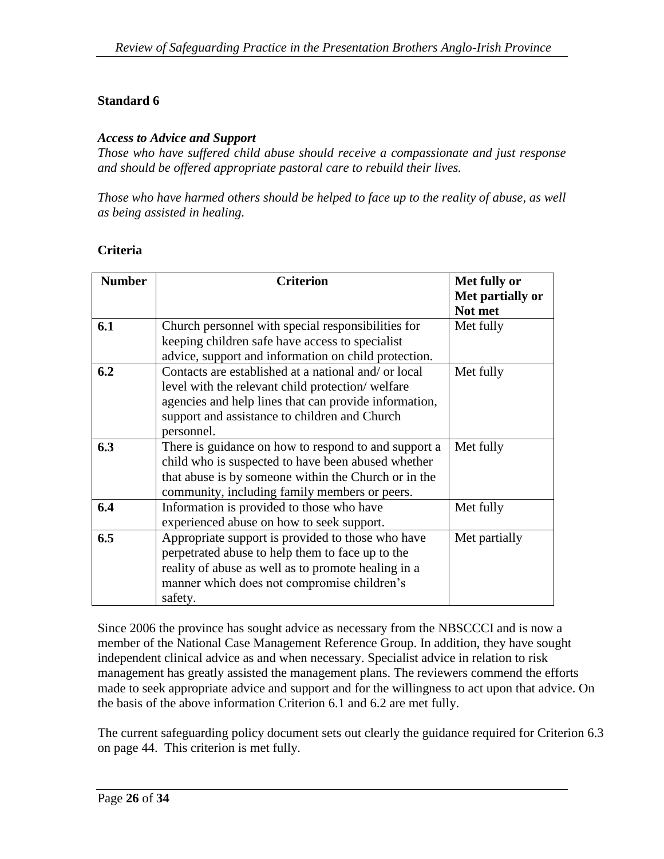#### *Access to Advice and Support*

*Those who have suffered child abuse should receive a compassionate and just response and should be offered appropriate pastoral care to rebuild their lives.*

*Those who have harmed others should be helped to face up to the reality of abuse, as well as being assisted in healing.*

### **Criteria**

| <b>Number</b> | <b>Criterion</b>                                      | Met fully or     |
|---------------|-------------------------------------------------------|------------------|
|               |                                                       | Met partially or |
|               |                                                       | Not met          |
| 6.1           | Church personnel with special responsibilities for    | Met fully        |
|               | keeping children safe have access to specialist       |                  |
|               | advice, support and information on child protection.  |                  |
| 6.2           | Contacts are established at a national and/or local   | Met fully        |
|               | level with the relevant child protection/welfare      |                  |
|               | agencies and help lines that can provide information, |                  |
|               | support and assistance to children and Church         |                  |
|               | personnel.                                            |                  |
| 6.3           | There is guidance on how to respond to and support a  | Met fully        |
|               | child who is suspected to have been abused whether    |                  |
|               | that abuse is by someone within the Church or in the  |                  |
|               | community, including family members or peers.         |                  |
| 6.4           | Information is provided to those who have             | Met fully        |
|               | experienced abuse on how to seek support.             |                  |
| 6.5           | Appropriate support is provided to those who have     | Met partially    |
|               | perpetrated abuse to help them to face up to the      |                  |
|               | reality of abuse as well as to promote healing in a   |                  |
|               | manner which does not compromise children's           |                  |
|               | safety.                                               |                  |

Since 2006 the province has sought advice as necessary from the NBSCCCI and is now a member of the National Case Management Reference Group. In addition, they have sought independent clinical advice as and when necessary. Specialist advice in relation to risk management has greatly assisted the management plans. The reviewers commend the efforts made to seek appropriate advice and support and for the willingness to act upon that advice. On the basis of the above information Criterion 6.1 and 6.2 are met fully.

The current safeguarding policy document sets out clearly the guidance required for Criterion 6.3 on page 44. This criterion is met fully.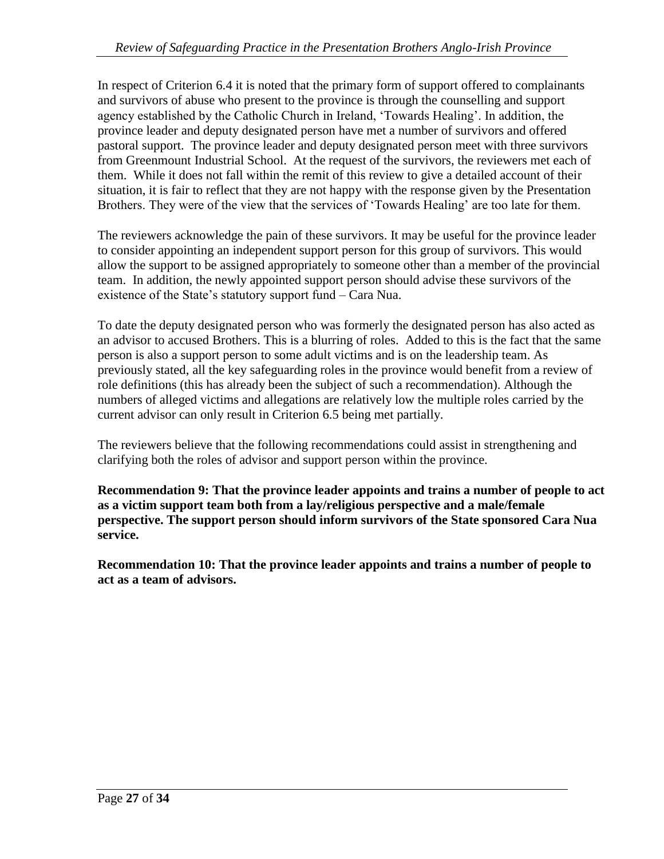In respect of Criterion 6.4 it is noted that the primary form of support offered to complainants and survivors of abuse who present to the province is through the counselling and support agency established by the Catholic Church in Ireland, 'Towards Healing'. In addition, the province leader and deputy designated person have met a number of survivors and offered pastoral support. The province leader and deputy designated person meet with three survivors from Greenmount Industrial School. At the request of the survivors, the reviewers met each of them. While it does not fall within the remit of this review to give a detailed account of their situation, it is fair to reflect that they are not happy with the response given by the Presentation Brothers. They were of the view that the services of 'Towards Healing' are too late for them.

The reviewers acknowledge the pain of these survivors. It may be useful for the province leader to consider appointing an independent support person for this group of survivors. This would allow the support to be assigned appropriately to someone other than a member of the provincial team. In addition, the newly appointed support person should advise these survivors of the existence of the State's statutory support fund – Cara Nua.

To date the deputy designated person who was formerly the designated person has also acted as an advisor to accused Brothers. This is a blurring of roles. Added to this is the fact that the same person is also a support person to some adult victims and is on the leadership team. As previously stated, all the key safeguarding roles in the province would benefit from a review of role definitions (this has already been the subject of such a recommendation). Although the numbers of alleged victims and allegations are relatively low the multiple roles carried by the current advisor can only result in Criterion 6.5 being met partially.

The reviewers believe that the following recommendations could assist in strengthening and clarifying both the roles of advisor and support person within the province.

**Recommendation 9: That the province leader appoints and trains a number of people to act as a victim support team both from a lay/religious perspective and a male/female perspective. The support person should inform survivors of the State sponsored Cara Nua service.** 

**Recommendation 10: That the province leader appoints and trains a number of people to act as a team of advisors.**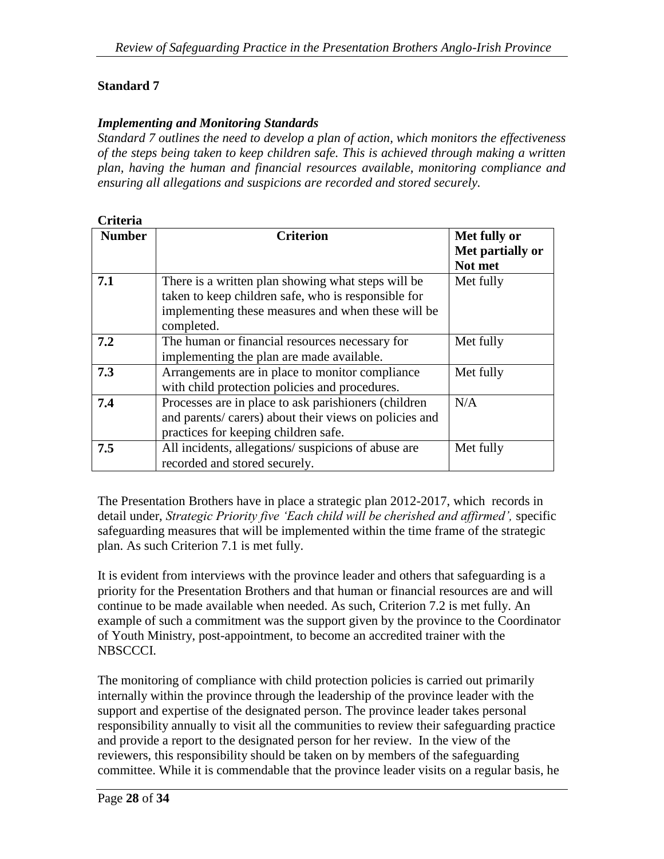#### *Implementing and Monitoring Standards*

*Standard 7 outlines the need to develop a plan of action, which monitors the effectiveness of the steps being taken to keep children safe. This is achieved through making a written plan, having the human and financial resources available, monitoring compliance and ensuring all allegations and suspicions are recorded and stored securely.*

| Criteria      |                                                                                                                                                                               |                                             |
|---------------|-------------------------------------------------------------------------------------------------------------------------------------------------------------------------------|---------------------------------------------|
| <b>Number</b> | <b>Criterion</b>                                                                                                                                                              | Met fully or<br>Met partially or<br>Not met |
| 7.1           | There is a written plan showing what steps will be<br>taken to keep children safe, who is responsible for<br>implementing these measures and when these will be<br>completed. | Met fully                                   |
| 7.2           | The human or financial resources necessary for<br>implementing the plan are made available.                                                                                   | Met fully                                   |
| 7.3           | Arrangements are in place to monitor compliance<br>with child protection policies and procedures.                                                                             | Met fully                                   |
| 7.4           | Processes are in place to ask parishioners (children<br>and parents/ carers) about their views on policies and<br>practices for keeping children safe.                        | N/A                                         |
| 7.5           | All incidents, allegations/suspicions of abuse are<br>recorded and stored securely.                                                                                           | Met fully                                   |

The Presentation Brothers have in place a strategic plan 2012-2017, which records in detail under, *Strategic Priority five 'Each child will be cherished and affirmed',* specific safeguarding measures that will be implemented within the time frame of the strategic plan. As such Criterion 7.1 is met fully.

It is evident from interviews with the province leader and others that safeguarding is a priority for the Presentation Brothers and that human or financial resources are and will continue to be made available when needed. As such, Criterion 7.2 is met fully. An example of such a commitment was the support given by the province to the Coordinator of Youth Ministry, post-appointment, to become an accredited trainer with the NBSCCCI.

The monitoring of compliance with child protection policies is carried out primarily internally within the province through the leadership of the province leader with the support and expertise of the designated person. The province leader takes personal responsibility annually to visit all the communities to review their safeguarding practice and provide a report to the designated person for her review. In the view of the reviewers, this responsibility should be taken on by members of the safeguarding committee. While it is commendable that the province leader visits on a regular basis, he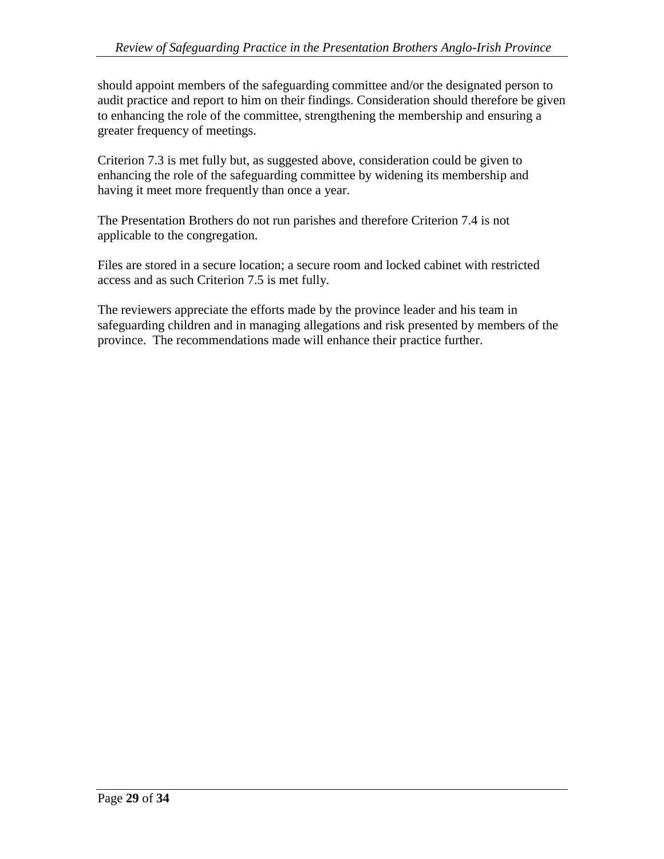should appoint members of the safeguarding committee and/or the designated person to audit practice and report to him on their findings. Consideration should therefore be given to enhancing the role of the committee, strengthening the membership and ensuring a greater frequency of meetings.

Criterion 7.3 is met fully but, as suggested above, consideration could be given to enhancing the role of the safeguarding committee by widening its membership and having it meet more frequently than once a year.

The Presentation Brothers do not run parishes and therefore Criterion 7.4 is not applicable to the congregation.

Files are stored in a secure location; a secure room and locked cabinet with restricted access and as such Criterion 7.5 is met fully.

The reviewers appreciate the efforts made by the province leader and his team in safeguarding children and in managing allegations and risk presented by members of the province. The recommendations made will enhance their practice further.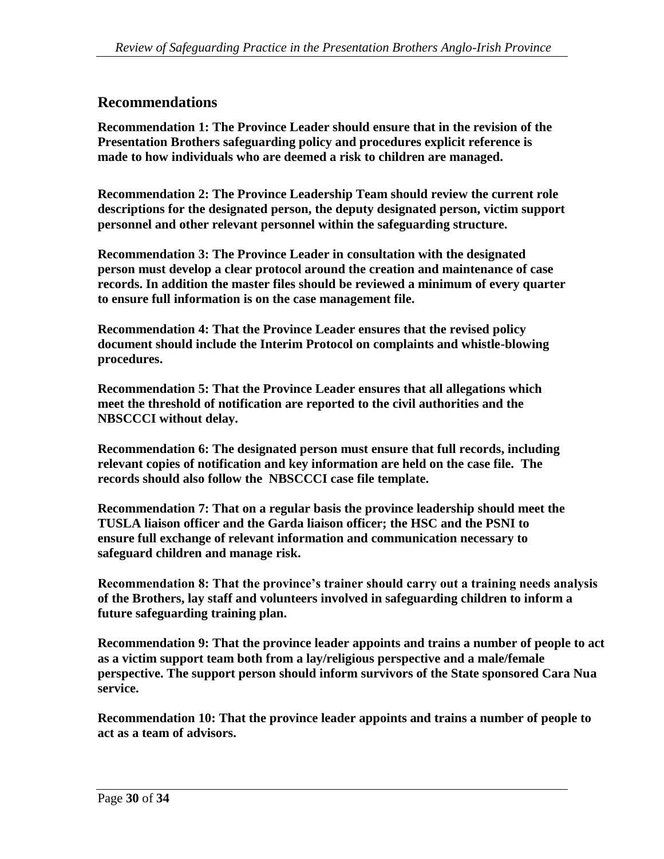# **Recommendations**

**Recommendation 1: The Province Leader should ensure that in the revision of the Presentation Brothers safeguarding policy and procedures explicit reference is made to how individuals who are deemed a risk to children are managed.** 

**Recommendation 2: The Province Leadership Team should review the current role descriptions for the designated person, the deputy designated person, victim support personnel and other relevant personnel within the safeguarding structure.**

**Recommendation 3: The Province Leader in consultation with the designated person must develop a clear protocol around the creation and maintenance of case records. In addition the master files should be reviewed a minimum of every quarter to ensure full information is on the case management file.**

**Recommendation 4: That the Province Leader ensures that the revised policy document should include the Interim Protocol on complaints and whistle-blowing procedures.**

**Recommendation 5: That the Province Leader ensures that all allegations which meet the threshold of notification are reported to the civil authorities and the NBSCCCI without delay.**

**Recommendation 6: The designated person must ensure that full records, including relevant copies of notification and key information are held on the case file. The records should also follow the NBSCCCI case file template.**

**Recommendation 7: That on a regular basis the province leadership should meet the TUSLA liaison officer and the Garda liaison officer; the HSC and the PSNI to ensure full exchange of relevant information and communication necessary to safeguard children and manage risk.** 

**Recommendation 8: That the province's trainer should carry out a training needs analysis of the Brothers, lay staff and volunteers involved in safeguarding children to inform a future safeguarding training plan.**

**Recommendation 9: That the province leader appoints and trains a number of people to act as a victim support team both from a lay/religious perspective and a male/female perspective. The support person should inform survivors of the State sponsored Cara Nua service.** 

**Recommendation 10: That the province leader appoints and trains a number of people to act as a team of advisors.**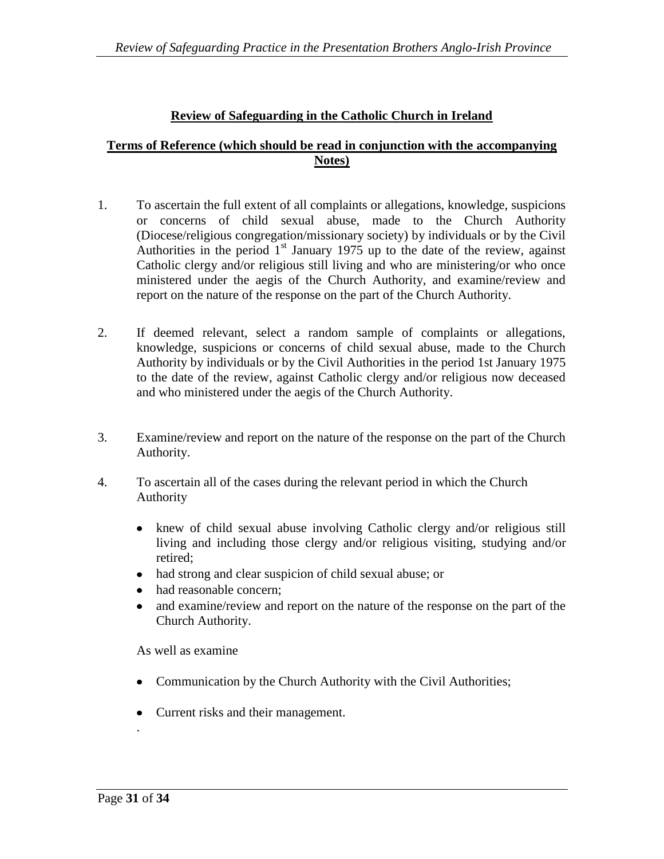### **Review of Safeguarding in the Catholic Church in Ireland**

### **Terms of Reference (which should be read in conjunction with the accompanying Notes)**

- 1. To ascertain the full extent of all complaints or allegations, knowledge, suspicions or concerns of child sexual abuse, made to the Church Authority (Diocese/religious congregation/missionary society) by individuals or by the Civil Authorities in the period  $1<sup>st</sup>$  January 1975 up to the date of the review, against Catholic clergy and/or religious still living and who are ministering/or who once ministered under the aegis of the Church Authority, and examine/review and report on the nature of the response on the part of the Church Authority.
- 2. If deemed relevant, select a random sample of complaints or allegations, knowledge, suspicions or concerns of child sexual abuse, made to the Church Authority by individuals or by the Civil Authorities in the period 1st January 1975 to the date of the review, against Catholic clergy and/or religious now deceased and who ministered under the aegis of the Church Authority.
- 3. Examine/review and report on the nature of the response on the part of the Church Authority.
- 4. To ascertain all of the cases during the relevant period in which the Church Authority
	- knew of child sexual abuse involving Catholic clergy and/or religious still living and including those clergy and/or religious visiting, studying and/or retired;
	- had strong and clear suspicion of child sexual abuse; or
	- had reasonable concern;  $\bullet$
	- $\bullet$ and examine/review and report on the nature of the response on the part of the Church Authority.

As well as examine

- Communication by the Church Authority with the Civil Authorities;
- Current risks and their management.

.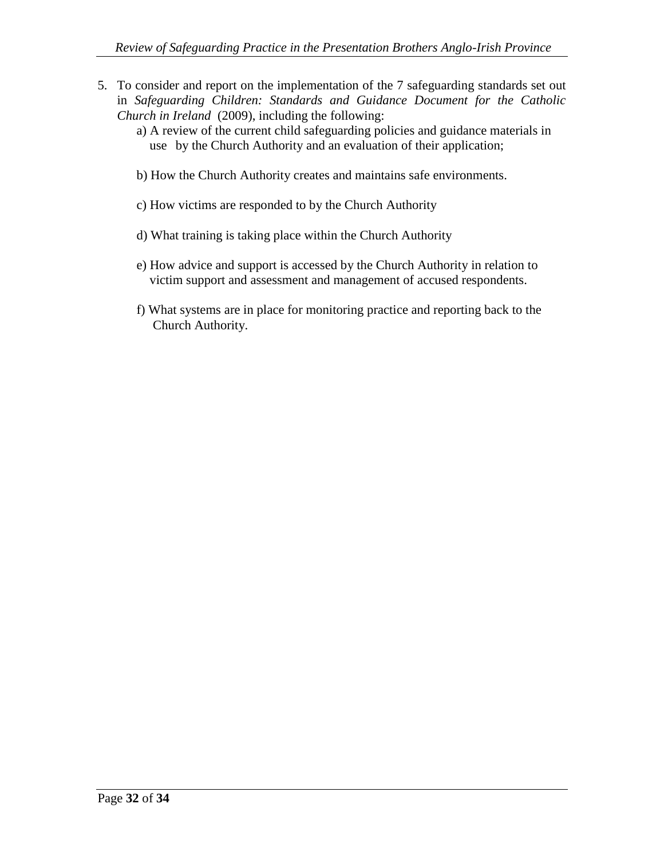- 5. To consider and report on the implementation of the 7 safeguarding standards set out in *Safeguarding Children: Standards and Guidance Document for the Catholic Church in Ireland* (2009), including the following:
	- a) A review of the current child safeguarding policies and guidance materials in use by the Church Authority and an evaluation of their application;
	- b) How the Church Authority creates and maintains safe environments.
	- c) How victims are responded to by the Church Authority
	- d) What training is taking place within the Church Authority
	- e) How advice and support is accessed by the Church Authority in relation to victim support and assessment and management of accused respondents.
	- f) What systems are in place for monitoring practice and reporting back to the Church Authority.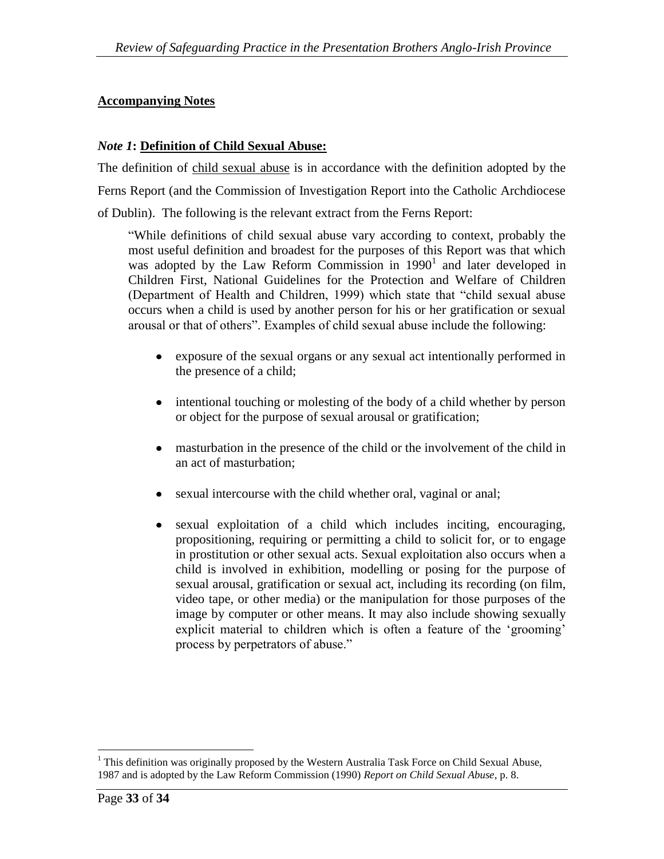### **Accompanying Notes**

### *Note 1***: Definition of Child Sexual Abuse:**

The definition of child sexual abuse is in accordance with the definition adopted by the Ferns Report (and the Commission of Investigation Report into the Catholic Archdiocese of Dublin). The following is the relevant extract from the Ferns Report:

"While definitions of child sexual abuse vary according to context, probably the most useful definition and broadest for the purposes of this Report was that which was adopted by the Law Reform Commission in  $1990<sup>1</sup>$  and later developed in Children First, National Guidelines for the Protection and Welfare of Children (Department of Health and Children, 1999) which state that "child sexual abuse occurs when a child is used by another person for his or her gratification or sexual arousal or that of others". Examples of child sexual abuse include the following:

- exposure of the sexual organs or any sexual act intentionally performed in the presence of a child;
- intentional touching or molesting of the body of a child whether by person  $\bullet$ or object for the purpose of sexual arousal or gratification;
- $\bullet$ masturbation in the presence of the child or the involvement of the child in an act of masturbation;
- sexual intercourse with the child whether oral, vaginal or anal;  $\bullet$
- sexual exploitation of a child which includes inciting, encouraging,  $\bullet$ propositioning, requiring or permitting a child to solicit for, or to engage in prostitution or other sexual acts. Sexual exploitation also occurs when a child is involved in exhibition, modelling or posing for the purpose of sexual arousal, gratification or sexual act, including its recording (on film, video tape, or other media) or the manipulation for those purposes of the image by computer or other means. It may also include showing sexually explicit material to children which is often a feature of the 'grooming' process by perpetrators of abuse."

 $\overline{a}$ <sup>1</sup> This definition was originally proposed by the Western Australia Task Force on Child Sexual Abuse, 1987 and is adopted by the Law Reform Commission (1990) *Report on Child Sexual Abuse*, p. 8.